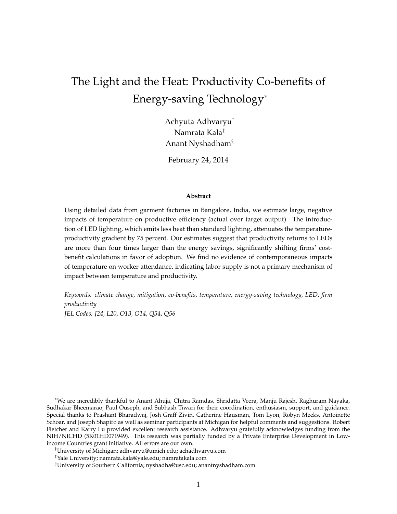# The Light and the Heat: Productivity Co-benefits of Energy-saving Technology<sup>∗</sup>

Achyuta Adhvaryu† Namrata Kala‡ Anant Nyshadham§

February 24, 2014

#### **Abstract**

Using detailed data from garment factories in Bangalore, India, we estimate large, negative impacts of temperature on productive efficiency (actual over target output). The introduction of LED lighting, which emits less heat than standard lighting, attenuates the temperatureproductivity gradient by 75 percent. Our estimates suggest that productivity returns to LEDs are more than four times larger than the energy savings, significantly shifting firms' costbenefit calculations in favor of adoption. We find no evidence of contemporaneous impacts of temperature on worker attendance, indicating labor supply is not a primary mechanism of impact between temperature and productivity.

*Keywords: climate change, mitigation, co-benefits, temperature, energy-saving technology, LED, firm productivity*

*JEL Codes: J24, L20, O13, O14, Q54, Q56*

<sup>∗</sup>We are incredibly thankful to Anant Ahuja, Chitra Ramdas, Shridatta Veera, Manju Rajesh, Raghuram Nayaka, Sudhakar Bheemarao, Paul Ouseph, and Subhash Tiwari for their coordination, enthusiasm, support, and guidance. Special thanks to Prashant Bharadwaj, Josh Graff Zivin, Catherine Hausman, Tom Lyon, Robyn Meeks, Antoinette Schoar, and Joseph Shapiro as well as seminar participants at Michigan for helpful comments and suggestions. Robert Fletcher and Karry Lu provided excellent research assistance. Adhvaryu gratefully acknowledges funding from the NIH/NICHD (5K01HD071949). This research was partially funded by a Private Enterprise Development in Lowincome Countries grant initiative. All errors are our own.

<sup>†</sup>University of Michigan; adhvaryu@umich.edu; achadhvaryu.com

<sup>‡</sup>Yale University; namrata.kala@yale.edu; namratakala.com

<sup>§</sup>University of Southern California; nyshadha@usc.edu; anantnyshadham.com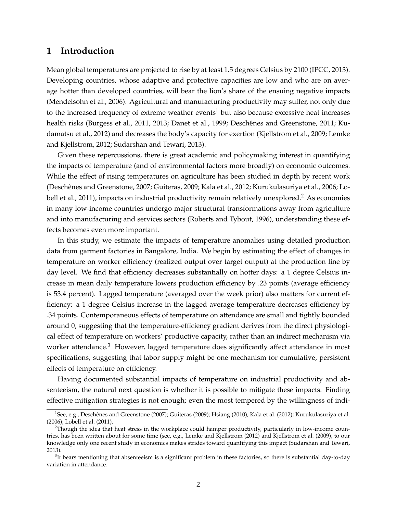### **1 Introduction**

Mean global temperatures are projected to rise by at least 1.5 degrees Celsius by 2100 (IPCC, 2013). Developing countries, whose adaptive and protective capacities are low and who are on average hotter than developed countries, will bear the lion's share of the ensuing negative impacts (Mendelsohn et al., 2006). Agricultural and manufacturing productivity may suffer, not only due to the increased frequency of extreme weather events<sup>1</sup> but also because excessive heat increases health risks (Burgess et al., 2011, 2013; Danet et al., 1999; Deschênes and Greenstone, 2011; Kudamatsu et al., 2012) and decreases the body's capacity for exertion (Kjellstrom et al., 2009; Lemke and Kjellstrom, 2012; Sudarshan and Tewari, 2013).

Given these repercussions, there is great academic and policymaking interest in quantifying the impacts of temperature (and of environmental factors more broadly) on economic outcomes. While the effect of rising temperatures on agriculture has been studied in depth by recent work (Deschenes and Greenstone, 2007; Guiteras, 2009; Kala et al., 2012; Kurukulasuriya et al., 2006; Lo- ˆ bell et al., 2011), impacts on industrial productivity remain relatively unexplored.<sup>2</sup> As economies in many low-income countries undergo major structural transformations away from agriculture and into manufacturing and services sectors (Roberts and Tybout, 1996), understanding these effects becomes even more important.

In this study, we estimate the impacts of temperature anomalies using detailed production data from garment factories in Bangalore, India. We begin by estimating the effect of changes in temperature on worker efficiency (realized output over target output) at the production line by day level. We find that efficiency decreases substantially on hotter days: a 1 degree Celsius increase in mean daily temperature lowers production efficiency by .23 points (average efficiency is 53.4 percent). Lagged temperature (averaged over the week prior) also matters for current efficiency: a 1 degree Celsius increase in the lagged average temperature decreases efficiency by .34 points. Contemporaneous effects of temperature on attendance are small and tightly bounded around 0, suggesting that the temperature-efficiency gradient derives from the direct physiological effect of temperature on workers' productive capacity, rather than an indirect mechanism via worker attendance. $3$  However, lagged temperature does significantly affect attendance in most specifications, suggesting that labor supply might be one mechanism for cumulative, persistent effects of temperature on efficiency.

Having documented substantial impacts of temperature on industrial productivity and absenteeism, the natural next question is whether it is possible to mitigate these impacts. Finding effective mitigation strategies is not enough; even the most tempered by the willingness of indi-

<sup>&</sup>lt;sup>1</sup>See, e.g., Deschênes and Greenstone (2007); Guiteras (2009); Hsiang (2010); Kala et al. (2012); Kurukulasuriya et al. (2006); Lobell et al. (2011).

<sup>&</sup>lt;sup>2</sup>Though the idea that heat stress in the workplace could hamper productivity, particularly in low-income countries, has been written about for some time (see, e.g., Lemke and Kjellstrom (2012) and Kjellstrom et al. (2009), to our knowledge only one recent study in economics makes strides toward quantifying this impact (Sudarshan and Tewari, 2013).

 $3$ It bears mentioning that absenteeism is a significant problem in these factories, so there is substantial day-to-day variation in attendance.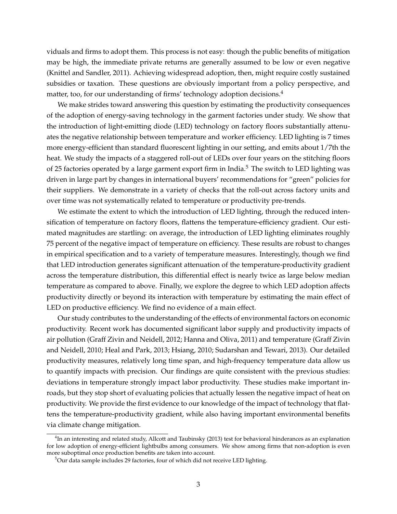viduals and firms to adopt them. This process is not easy: though the public benefits of mitigation may be high, the immediate private returns are generally assumed to be low or even negative (Knittel and Sandler, 2011). Achieving widespread adoption, then, might require costly sustained subsidies or taxation. These questions are obviously important from a policy perspective, and matter, too, for our understanding of firms' technology adoption decisions.<sup>4</sup>

We make strides toward answering this question by estimating the productivity consequences of the adoption of energy-saving technology in the garment factories under study. We show that the introduction of light-emitting diode (LED) technology on factory floors substantially attenuates the negative relationship between temperature and worker efficiency. LED lighting is 7 times more energy-efficient than standard fluorescent lighting in our setting, and emits about 1/7th the heat. We study the impacts of a staggered roll-out of LEDs over four years on the stitching floors of 25 factories operated by a large garment export firm in India.<sup>5</sup> The switch to LED lighting was driven in large part by changes in international buyers' recommendations for "green" policies for their suppliers. We demonstrate in a variety of checks that the roll-out across factory units and over time was not systematically related to temperature or productivity pre-trends.

We estimate the extent to which the introduction of LED lighting, through the reduced intensification of temperature on factory floors, flattens the temperature-efficiency gradient. Our estimated magnitudes are startling: on average, the introduction of LED lighting eliminates roughly 75 percent of the negative impact of temperature on efficiency. These results are robust to changes in empirical specification and to a variety of temperature measures. Interestingly, though we find that LED introduction generates significant attenuation of the temperature-productivity gradient across the temperature distribution, this differential effect is nearly twice as large below median temperature as compared to above. Finally, we explore the degree to which LED adoption affects productivity directly or beyond its interaction with temperature by estimating the main effect of LED on productive efficiency. We find no evidence of a main effect.

Our study contributes to the understanding of the effects of environmental factors on economic productivity. Recent work has documented significant labor supply and productivity impacts of air pollution (Graff Zivin and Neidell, 2012; Hanna and Oliva, 2011) and temperature (Graff Zivin and Neidell, 2010; Heal and Park, 2013; Hsiang, 2010; Sudarshan and Tewari, 2013). Our detailed productivity measures, relatively long time span, and high-frequency temperature data allow us to quantify impacts with precision. Our findings are quite consistent with the previous studies: deviations in temperature strongly impact labor productivity. These studies make important inroads, but they stop short of evaluating policies that actually lessen the negative impact of heat on productivity. We provide the first evidence to our knowledge of the impact of technology that flattens the temperature-productivity gradient, while also having important environmental benefits via climate change mitigation.

 $^{4}$ In an interesting and related study, Allcott and Taubinsky (2013) test for behavioral hinderances as an explanation for low adoption of energy-efficient lightbulbs among consumers. We show among firms that non-adoption is even more suboptimal once production benefits are taken into account.

<sup>&</sup>lt;sup>5</sup>Our data sample includes 29 factories, four of which did not receive LED lighting.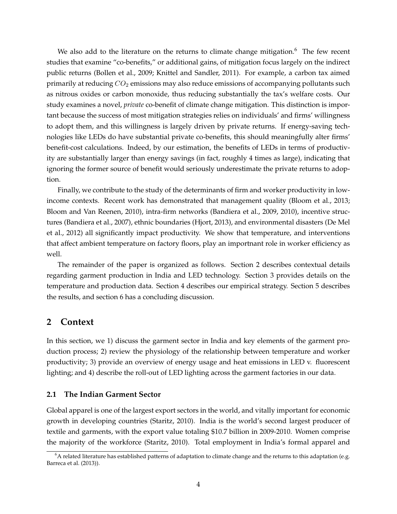We also add to the literature on the returns to climate change mitigation.<sup>6</sup> The few recent studies that examine "co-benefits," or additional gains, of mitigation focus largely on the indirect public returns (Bollen et al., 2009; Knittel and Sandler, 2011). For example, a carbon tax aimed primarily at reducing  $CO<sub>2</sub>$  emissions may also reduce emissions of accompanying pollutants such as nitrous oxides or carbon monoxide, thus reducing substantially the tax's welfare costs. Our study examines a novel, *private* co-benefit of climate change mitigation. This distinction is important because the success of most mitigation strategies relies on individuals' and firms' willingness to adopt them, and this willingness is largely driven by private returns. If energy-saving technologies like LEDs do have substantial private co-benefits, this should meaningfully alter firms' benefit-cost calculations. Indeed, by our estimation, the benefits of LEDs in terms of productivity are substantially larger than energy savings (in fact, roughly 4 times as large), indicating that ignoring the former source of benefit would seriously underestimate the private returns to adoption.

Finally, we contribute to the study of the determinants of firm and worker productivity in lowincome contexts. Recent work has demonstrated that management quality (Bloom et al., 2013; Bloom and Van Reenen, 2010), intra-firm networks (Bandiera et al., 2009, 2010), incentive structures (Bandiera et al., 2007), ethnic boundaries (Hjort, 2013), and environmental disasters (De Mel et al., 2012) all significantly impact productivity. We show that temperature, and interventions that affect ambient temperature on factory floors, play an importnant role in worker efficiency as well.

The remainder of the paper is organized as follows. Section 2 describes contextual details regarding garment production in India and LED technology. Section 3 provides details on the temperature and production data. Section 4 describes our empirical strategy. Section 5 describes the results, and section 6 has a concluding discussion.

### **2 Context**

In this section, we 1) discuss the garment sector in India and key elements of the garment production process; 2) review the physiology of the relationship between temperature and worker productivity; 3) provide an overview of energy usage and heat emissions in LED v. fluorescent lighting; and 4) describe the roll-out of LED lighting across the garment factories in our data.

#### **2.1 The Indian Garment Sector**

Global apparel is one of the largest export sectors in the world, and vitally important for economic growth in developing countries (Staritz, 2010). India is the world's second largest producer of textile and garments, with the export value totaling \$10.7 billion in 2009-2010. Women comprise the majority of the workforce (Staritz, 2010). Total employment in India's formal apparel and

 $6A$  related literature has established patterns of adaptation to climate change and the returns to this adaptation (e.g. Barreca et al. (2013)).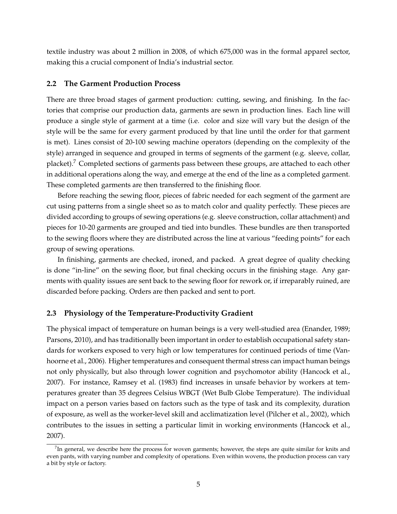textile industry was about 2 million in 2008, of which 675,000 was in the formal apparel sector, making this a crucial component of India's industrial sector.

#### **2.2 The Garment Production Process**

There are three broad stages of garment production: cutting, sewing, and finishing. In the factories that comprise our production data, garments are sewn in production lines. Each line will produce a single style of garment at a time (i.e. color and size will vary but the design of the style will be the same for every garment produced by that line until the order for that garment is met). Lines consist of 20-100 sewing machine operators (depending on the complexity of the style) arranged in sequence and grouped in terms of segments of the garment (e.g. sleeve, collar, placket).<sup>7</sup> Completed sections of garments pass between these groups, are attached to each other in additional operations along the way, and emerge at the end of the line as a completed garment. These completed garments are then transferred to the finishing floor.

Before reaching the sewing floor, pieces of fabric needed for each segment of the garment are cut using patterns from a single sheet so as to match color and quality perfectly. These pieces are divided according to groups of sewing operations (e.g. sleeve construction, collar attachment) and pieces for 10-20 garments are grouped and tied into bundles. These bundles are then transported to the sewing floors where they are distributed across the line at various "feeding points" for each group of sewing operations.

In finishing, garments are checked, ironed, and packed. A great degree of quality checking is done "in-line" on the sewing floor, but final checking occurs in the finishing stage. Any garments with quality issues are sent back to the sewing floor for rework or, if irreparably ruined, are discarded before packing. Orders are then packed and sent to port.

#### **2.3 Physiology of the Temperature-Productivity Gradient**

The physical impact of temperature on human beings is a very well-studied area (Enander, 1989; Parsons, 2010), and has traditionally been important in order to establish occupational safety standards for workers exposed to very high or low temperatures for continued periods of time (Vanhoorne et al., 2006). Higher temperatures and consequent thermal stress can impact human beings not only physically, but also through lower cognition and psychomotor ability (Hancock et al., 2007). For instance, Ramsey et al. (1983) find increases in unsafe behavior by workers at temperatures greater than 35 degrees Celsius WBGT (Wet Bulb Globe Temperature). The individual impact on a person varies based on factors such as the type of task and its complexity, duration of exposure, as well as the worker-level skill and acclimatization level (Pilcher et al., 2002), which contributes to the issues in setting a particular limit in working environments (Hancock et al., 2007).

 $^7$ In general, we describe here the process for woven garments; however, the steps are quite similar for knits and even pants, with varying number and complexity of operations. Even within wovens, the production process can vary a bit by style or factory.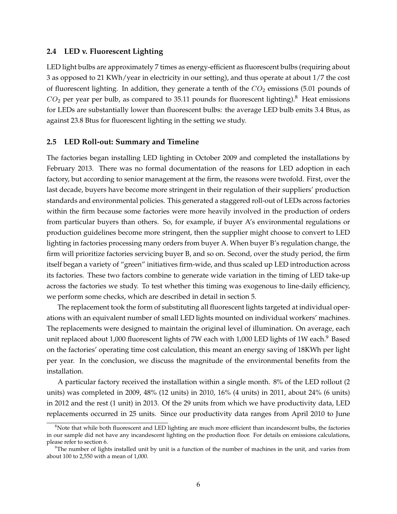#### **2.4 LED v. Fluorescent Lighting**

LED light bulbs are approximately 7 times as energy-efficient as fluorescent bulbs (requiring about 3 as opposed to 21 KWh/year in electricity in our setting), and thus operate at about 1/7 the cost of fluorescent lighting. In addition, they generate a tenth of the  $CO<sub>2</sub>$  emissions (5.01 pounds of  $CO<sub>2</sub>$  per year per bulb, as compared to 35.11 pounds for fluorescent lighting).<sup>8</sup> Heat emissions for LEDs are substantially lower than fluorescent bulbs: the average LED bulb emits 3.4 Btus, as against 23.8 Btus for fluorescent lighting in the setting we study.

#### **2.5 LED Roll-out: Summary and Timeline**

The factories began installing LED lighting in October 2009 and completed the installations by February 2013. There was no formal documentation of the reasons for LED adoption in each factory, but according to senior management at the firm, the reasons were twofold. First, over the last decade, buyers have become more stringent in their regulation of their suppliers' production standards and environmental policies. This generated a staggered roll-out of LEDs across factories within the firm because some factories were more heavily involved in the production of orders from particular buyers than others. So, for example, if buyer A's environmental regulations or production guidelines become more stringent, then the supplier might choose to convert to LED lighting in factories processing many orders from buyer A. When buyer B's regulation change, the firm will prioritize factories servicing buyer B, and so on. Second, over the study period, the firm itself began a variety of "green" initiatives firm-wide, and thus scaled up LED introduction across its factories. These two factors combine to generate wide variation in the timing of LED take-up across the factories we study. To test whether this timing was exogenous to line-daily efficiency, we perform some checks, which are described in detail in section 5.

The replacement took the form of substituting all fluorescent lights targeted at individual operations with an equivalent number of small LED lights mounted on individual workers' machines. The replacements were designed to maintain the original level of illumination. On average, each unit replaced about 1,000 fluorescent lights of 7W each with 1,000 LED lights of 1W each.<sup>9</sup> Based on the factories' operating time cost calculation, this meant an energy saving of 18KWh per light per year. In the conclusion, we discuss the magnitude of the environmental benefits from the installation.

A particular factory received the installation within a single month. 8% of the LED rollout (2 units) was completed in 2009, 48% (12 units) in 2010, 16% (4 units) in 2011, about 24% (6 units) in 2012 and the rest (1 unit) in 2013. Of the 29 units from which we have productivity data, LED replacements occurred in 25 units. Since our productivity data ranges from April 2010 to June

 $8$ Note that while both fluorescent and LED lighting are much more efficient than incandescent bulbs, the factories in our sample did not have any incandescent lighting on the production floor. For details on emissions calculations, please refer to section 6.

 $9$ The number of lights installed unit by unit is a function of the number of machines in the unit, and varies from about 100 to 2,550 with a mean of 1,000.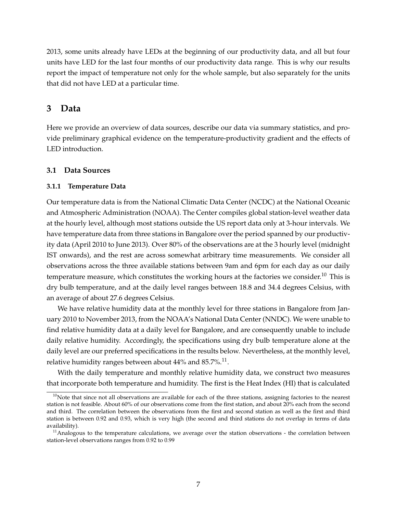2013, some units already have LEDs at the beginning of our productivity data, and all but four units have LED for the last four months of our productivity data range. This is why our results report the impact of temperature not only for the whole sample, but also separately for the units that did not have LED at a particular time.

### **3 Data**

Here we provide an overview of data sources, describe our data via summary statistics, and provide preliminary graphical evidence on the temperature-productivity gradient and the effects of LED introduction.

#### **3.1 Data Sources**

#### **3.1.1 Temperature Data**

Our temperature data is from the National Climatic Data Center (NCDC) at the National Oceanic and Atmospheric Administration (NOAA). The Center compiles global station-level weather data at the hourly level, although most stations outside the US report data only at 3-hour intervals. We have temperature data from three stations in Bangalore over the period spanned by our productivity data (April 2010 to June 2013). Over 80% of the observations are at the 3 hourly level (midnight IST onwards), and the rest are across somewhat arbitrary time measurements. We consider all observations across the three available stations between 9am and 6pm for each day as our daily temperature measure, which constitutes the working hours at the factories we consider.<sup>10</sup> This is dry bulb temperature, and at the daily level ranges between 18.8 and 34.4 degrees Celsius, with an average of about 27.6 degrees Celsius.

We have relative humidity data at the monthly level for three stations in Bangalore from January 2010 to November 2013, from the NOAA's National Data Center (NNDC). We were unable to find relative humidity data at a daily level for Bangalore, and are consequently unable to include daily relative humidity. Accordingly, the specifications using dry bulb temperature alone at the daily level are our preferred specifications in the results below. Nevertheless, at the monthly level, relative humidity ranges between about  $44\%$  and  $85.7\%$ . $^{11}.$ 

With the daily temperature and monthly relative humidity data, we construct two measures that incorporate both temperature and humidity. The first is the Heat Index (HI) that is calculated

 $10$ Note that since not all observations are available for each of the three stations, assigning factories to the nearest station is not feasible. About 60% of our observations come from the first station, and about 20% each from the second and third. The correlation between the observations from the first and second station as well as the first and third station is between 0.92 and 0.93, which is very high (the second and third stations do not overlap in terms of data availability).

<sup>&</sup>lt;sup>11</sup> Analogous to the temperature calculations, we average over the station observations - the correlation between station-level observations ranges from 0.92 to 0.99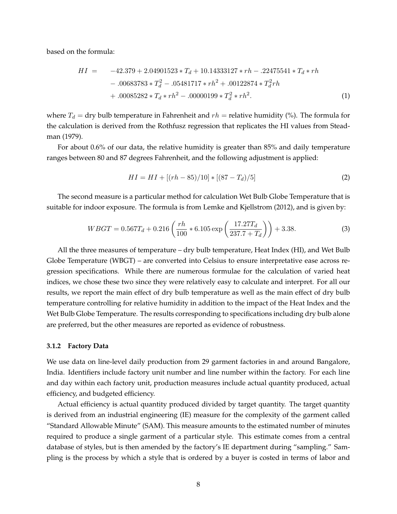based on the formula:

$$
HI = -42.379 + 2.04901523 * T_d + 10.14333127 * rh - .22475541 * T_d * rh - .00683783 * T_d^2 - .05481717 * rh^2 + .00122874 * T_d^2 rh + .00085282 * T_d * rh^2 - .00000199 * T_d^2 * rh^2.
$$
 (1)

where  $T_d$  = dry bulb temperature in Fahrenheit and  $rh$  = relative humidity (%). The formula for the calculation is derived from the Rothfusz regression that replicates the HI values from Steadman (1979).

For about 0.6% of our data, the relative humidity is greater than 85% and daily temperature ranges between 80 and 87 degrees Fahrenheit, and the following adjustment is applied:

$$
HI = HI + [(rh - 85)/10] * [(87 - T_d)/5]
$$
\n(2)

The second measure is a particular method for calculation Wet Bulb Globe Temperature that is suitable for indoor exposure. The formula is from Lemke and Kjellstrom (2012), and is given by:

$$
WBGT = 0.567T_d + 0.216 \left(\frac{rh}{100} * 6.105 \exp\left(\frac{17.27T_d}{237.7 + T_d}\right)\right) + 3.38. \tag{3}
$$

All the three measures of temperature – dry bulb temperature, Heat Index (HI), and Wet Bulb Globe Temperature (WBGT) – are converted into Celsius to ensure interpretative ease across regression specifications. While there are numerous formulae for the calculation of varied heat indices, we chose these two since they were relatively easy to calculate and interpret. For all our results, we report the main effect of dry bulb temperature as well as the main effect of dry bulb temperature controlling for relative humidity in addition to the impact of the Heat Index and the Wet Bulb Globe Temperature. The results corresponding to specifications including dry bulb alone are preferred, but the other measures are reported as evidence of robustness.

#### **3.1.2 Factory Data**

We use data on line-level daily production from 29 garment factories in and around Bangalore, India. Identifiers include factory unit number and line number within the factory. For each line and day within each factory unit, production measures include actual quantity produced, actual efficiency, and budgeted efficiency.

Actual efficiency is actual quantity produced divided by target quantity. The target quantity is derived from an industrial engineering (IE) measure for the complexity of the garment called "Standard Allowable Minute" (SAM). This measure amounts to the estimated number of minutes required to produce a single garment of a particular style. This estimate comes from a central database of styles, but is then amended by the factory's IE department during "sampling." Sampling is the process by which a style that is ordered by a buyer is costed in terms of labor and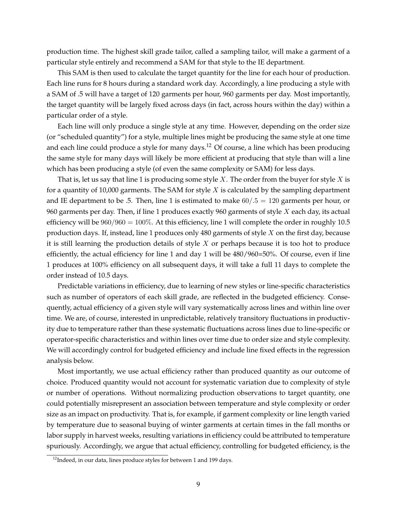production time. The highest skill grade tailor, called a sampling tailor, will make a garment of a particular style entirely and recommend a SAM for that style to the IE department.

This SAM is then used to calculate the target quantity for the line for each hour of production. Each line runs for 8 hours during a standard work day. Accordingly, a line producing a style with a SAM of .5 will have a target of 120 garments per hour, 960 garments per day. Most importantly, the target quantity will be largely fixed across days (in fact, across hours within the day) within a particular order of a style.

Each line will only produce a single style at any time. However, depending on the order size (or "scheduled quantity") for a style, multiple lines might be producing the same style at one time and each line could produce a style for many days.<sup>12</sup> Of course, a line which has been producing the same style for many days will likely be more efficient at producing that style than will a line which has been producing a style (of even the same complexity or SAM) for less days.

That is, let us say that line 1 is producing some style  $X$ . The order from the buyer for style  $X$  is for a quantity of 10,000 garments. The SAM for style  $X$  is calculated by the sampling department and IE department to be .5. Then, line 1 is estimated to make  $60/.5 = 120$  garments per hour, or 960 garments per day. Then, if line 1 produces exactly 960 garments of style  $X$  each day, its actual efficiency will be  $960/960 = 100\%$ . At this efficiency, line 1 will complete the order in roughly 10.5 production days. If, instead, line 1 produces only 480 garments of style  $X$  on the first day, because it is still learning the production details of style  $X$  or perhaps because it is too hot to produce efficiently, the actual efficiency for line 1 and day 1 will be 480/960=50%. Of course, even if line 1 produces at 100% efficiency on all subsequent days, it will take a full 11 days to complete the order instead of 10.5 days.

Predictable variations in efficiency, due to learning of new styles or line-specific characteristics such as number of operators of each skill grade, are reflected in the budgeted efficiency. Consequently, actual efficiency of a given style will vary systematically across lines and within line over time. We are, of course, interested in unpredictable, relatively transitory fluctuations in productivity due to temperature rather than these systematic fluctuations across lines due to line-specific or operator-specific characteristics and within lines over time due to order size and style complexity. We will accordingly control for budgeted efficiency and include line fixed effects in the regression analysis below.

Most importantly, we use actual efficiency rather than produced quantity as our outcome of choice. Produced quantity would not account for systematic variation due to complexity of style or number of operations. Without normalizing production observations to target quantity, one could potentially misrepresent an association between temperature and style complexity or order size as an impact on productivity. That is, for example, if garment complexity or line length varied by temperature due to seasonal buying of winter garments at certain times in the fall months or labor supply in harvest weeks, resulting variations in efficiency could be attributed to temperature spuriously. Accordingly, we argue that actual efficiency, controlling for budgeted efficiency, is the

 $12$ Indeed, in our data, lines produce styles for between 1 and 199 days.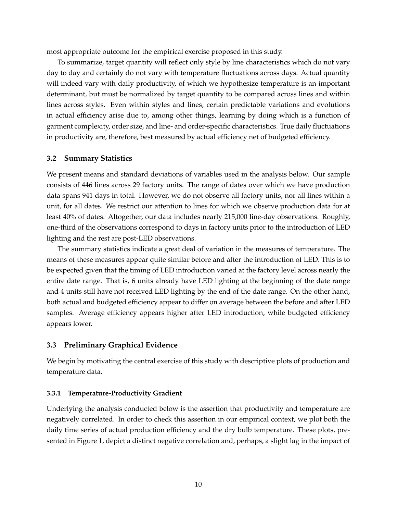most appropriate outcome for the empirical exercise proposed in this study.

To summarize, target quantity will reflect only style by line characteristics which do not vary day to day and certainly do not vary with temperature fluctuations across days. Actual quantity will indeed vary with daily productivity, of which we hypothesize temperature is an important determinant, but must be normalized by target quantity to be compared across lines and within lines across styles. Even within styles and lines, certain predictable variations and evolutions in actual efficiency arise due to, among other things, learning by doing which is a function of garment complexity, order size, and line- and order-specific characteristics. True daily fluctuations in productivity are, therefore, best measured by actual efficiency net of budgeted efficiency.

#### **3.2 Summary Statistics**

We present means and standard deviations of variables used in the analysis below. Our sample consists of 446 lines across 29 factory units. The range of dates over which we have production data spans 941 days in total. However, we do not observe all factory units, nor all lines within a unit, for all dates. We restrict our attention to lines for which we observe production data for at least 40% of dates. Altogether, our data includes nearly 215,000 line-day observations. Roughly, one-third of the observations correspond to days in factory units prior to the introduction of LED lighting and the rest are post-LED observations.

The summary statistics indicate a great deal of variation in the measures of temperature. The means of these measures appear quite similar before and after the introduction of LED. This is to be expected given that the timing of LED introduction varied at the factory level across nearly the entire date range. That is, 6 units already have LED lighting at the beginning of the date range and 4 units still have not received LED lighting by the end of the date range. On the other hand, both actual and budgeted efficiency appear to differ on average between the before and after LED samples. Average efficiency appears higher after LED introduction, while budgeted efficiency appears lower.

#### **3.3 Preliminary Graphical Evidence**

We begin by motivating the central exercise of this study with descriptive plots of production and temperature data.

#### **3.3.1 Temperature-Productivity Gradient**

Underlying the analysis conducted below is the assertion that productivity and temperature are negatively correlated. In order to check this assertion in our empirical context, we plot both the daily time series of actual production efficiency and the dry bulb temperature. These plots, presented in Figure 1, depict a distinct negative correlation and, perhaps, a slight lag in the impact of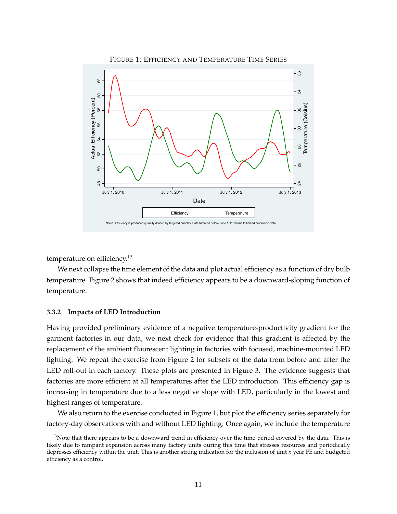

FIGURE 1: EFFICIENCY AND TEMPERATURE TIME SERIES

temperature on efficiency.<sup>13</sup>

We next collapse the time element of the data and plot actual efficiency as a function of dry bulb temperature. Figure 2 shows that indeed efficiency appears to be a downward-sloping function of temperature.

#### **3.3.2 Impacts of LED Introduction**

Having provided preliminary evidence of a negative temperature-productivity gradient for the garment factories in our data, we next check for evidence that this gradient is affected by the replacement of the ambient fluorescent lighting in factories with focused, machine-mounted LED lighting. We repeat the exercise from Figure 2 for subsets of the data from before and after the LED roll-out in each factory. These plots are presented in Figure 3. The evidence suggests that factories are more efficient at all temperatures after the LED introduction. This efficiency gap is increasing in temperature due to a less negative slope with LED, particularly in the lowest and highest ranges of temperature.

We also return to the exercise conducted in Figure 1, but plot the efficiency series separately for factory-day observations with and without LED lighting. Once again, we include the temperature

<sup>&</sup>lt;sup>13</sup>Note that there appears to be a downward trend in efficiency over the time period covered by the data. This is likely due to rampant expansion across many factory units during this time that stresses resources and periodically depresses efficiency within the unit. This is another strong indication for the inclusion of unit x year FE and budgeted efficiency as a control.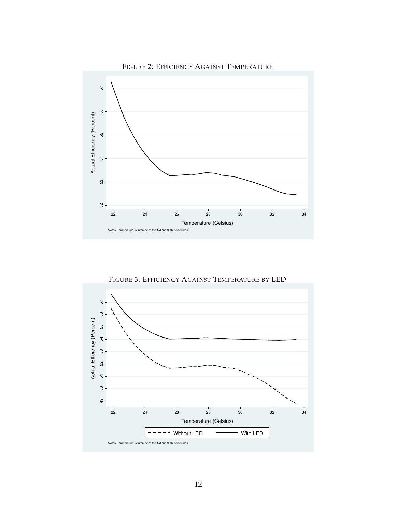

FIGURE 3: EFFICIENCY AGAINST TEMPERATURE BY LED

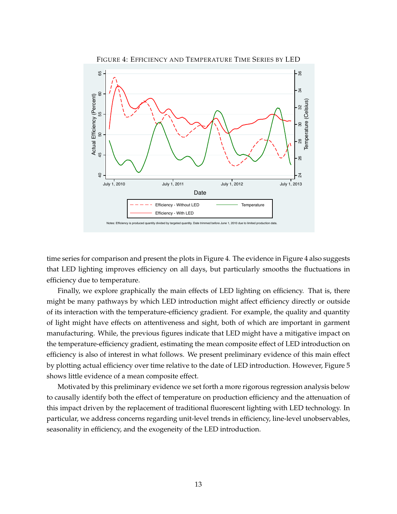

time series for comparison and present the plots in Figure 4. The evidence in Figure 4 also suggests that LED lighting improves efficiency on all days, but particularly smooths the fluctuations in efficiency due to temperature.

Finally, we explore graphically the main effects of LED lighting on efficiency. That is, there might be many pathways by which LED introduction might affect efficiency directly or outside of its interaction with the temperature-efficiency gradient. For example, the quality and quantity of light might have effects on attentiveness and sight, both of which are important in garment manufacturing. While, the previous figures indicate that LED might have a mitigative impact on the temperature-efficiency gradient, estimating the mean composite effect of LED introduction on efficiency is also of interest in what follows. We present preliminary evidence of this main effect by plotting actual efficiency over time relative to the date of LED introduction. However, Figure 5 shows little evidence of a mean composite effect.

Motivated by this preliminary evidence we set forth a more rigorous regression analysis below to causally identify both the effect of temperature on production efficiency and the attenuation of this impact driven by the replacement of traditional fluorescent lighting with LED technology. In particular, we address concerns regarding unit-level trends in efficiency, line-level unobservables, seasonality in efficiency, and the exogeneity of the LED introduction.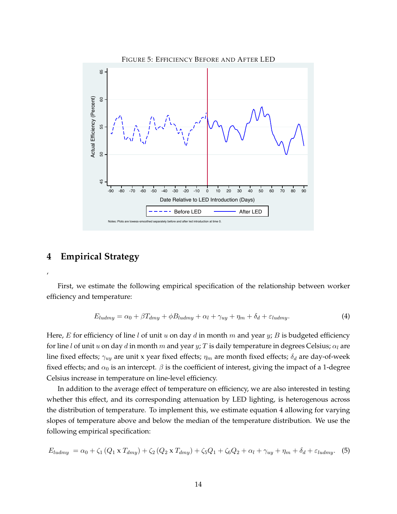

### **4 Empirical Strategy**

'

First, we estimate the following empirical specification of the relationship between worker efficiency and temperature:

$$
E_{ludmy} = \alpha_0 + \beta T_{dmy} + \phi B_{ludmy} + \alpha_l + \gamma_{uy} + \eta_m + \delta_d + \varepsilon_{ludmy}.
$$
\n(4)

Here, E for efficiency of line l of unit u on day d in month m and year y; B is budgeted efficiency for line l of unit u on day d in month m and year y; T is daily temperature in degrees Celsius;  $\alpha_l$  are line fixed effects;  $\gamma_{uy}$  are unit x year fixed effects;  $\eta_m$  are month fixed effects;  $\delta_d$  are day-of-week fixed effects; and  $\alpha_0$  is an intercept.  $\beta$  is the coefficient of interest, giving the impact of a 1-degree Celsius increase in temperature on line-level efficiency.

In addition to the average effect of temperature on efficiency, we are also interested in testing whether this effect, and its corresponding attenuation by LED lighting, is heterogenous across the distribution of temperature. To implement this, we estimate equation 4 allowing for varying slopes of temperature above and below the median of the temperature distribution. We use the following empirical specification:

$$
E_{ludmy} = \alpha_0 + \zeta_1 \left(Q_1 \times T_{dmy}\right) + \zeta_2 \left(Q_2 \times T_{dmy}\right) + \zeta_5 Q_1 + \zeta_6 Q_2 + \alpha_l + \gamma_{uy} + \eta_m + \delta_d + \varepsilon_{ludmy}.\tag{5}
$$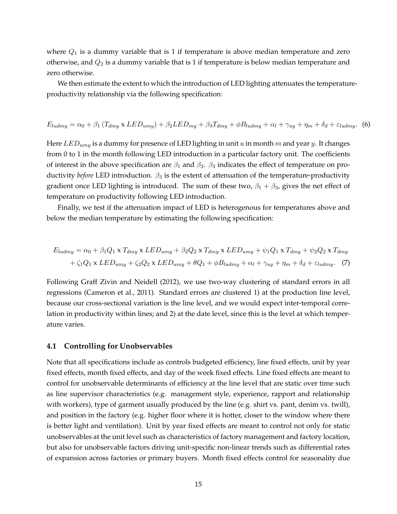where  $Q_1$  is a dummy variable that is 1 if temperature is above median temperature and zero otherwise, and  $Q_2$  is a dummy variable that is 1 if temperature is below median temperature and zero otherwise.

We then estimate the extent to which the introduction of LED lighting attenuates the temperatureproductivity relationship via the following specification:

$$
E_{ludmy} = \alpha_0 + \beta_1 (T_{dmy} \times LED_{umy}) + \beta_2 LED_{my} + \beta_3 T_{dmy} + \phi B_{ludmy} + \alpha_l + \gamma_{uy} + \eta_m + \delta_d + \varepsilon_{ludmy}.
$$
 (6)

Here  $LED_{umy}$  is a dummy for presence of LED lighting in unit u in month m and year y. It changes from 0 to 1 in the month following LED introduction in a particular factory unit. The coefficients of interest in the above specification are  $\beta_1$  and  $\beta_3$ .  $\beta_3$  indicates the effect of temperature on productivity *before* LED introduction.  $\beta_3$  is the extent of attenuation of the temperature-productivity gradient once LED lighting is introduced. The sum of these two,  $\beta_1 + \beta_3$ , gives the net effect of temperature on productivity following LED introduction.

Finally, we test if the attenuation impact of LED is heterogenous for temperatures above and below the median temperature by estimating the following specification:

$$
E_{ludmy} = \alpha_0 + \beta_1 Q_1 \times T_{dmy} \times LED_{umy} + \beta_2 Q_2 \times T_{dmy} \times LED_{umy} + \psi_1 Q_1 \times T_{dmy} + \psi_2 Q_2 \times T_{dmy}
$$

$$
+ \zeta_1 Q_1 \times LED_{umy} + \zeta_2 Q_2 \times LED_{umy} + \theta Q_1 + \phi B_{ludmy} + \alpha_l + \gamma_{uy} + \eta_m + \delta_d + \varepsilon_{ludmy}. \tag{7}
$$

Following Graff Zivin and Neidell (2012), we use two-way clustering of standard errors in all regressions (Cameron et al., 2011). Standard errors are clustered 1) at the production line level, because our cross-sectional variation is the line level, and we would expect inter-temporal correlation in productivity within lines; and 2) at the date level, since this is the level at which temperature varies.

#### **4.1 Controlling for Unobservables**

Note that all specifications include as controls budgeted efficiency, line fixed effects, unit by year fixed effects, month fixed effects, and day of the week fixed effects. Line fixed effects are meant to control for unobservable determinants of efficiency at the line level that are static over time such as line supervisor characteristics (e.g. management style, experience, rapport and relationship with workers), type of garment usually produced by the line (e.g. shirt vs. pant, denim vs. twill), and position in the factory (e.g. higher floor where it is hotter, closer to the window where there is better light and ventilation). Unit by year fixed effects are meant to control not only for static unobservables at the unit level such as characteristics of factory management and factory location, but also for unobservable factors driving unit-specific non-linear trends such as differential rates of expansion across factories or primary buyers. Month fixed effects control for seasonality due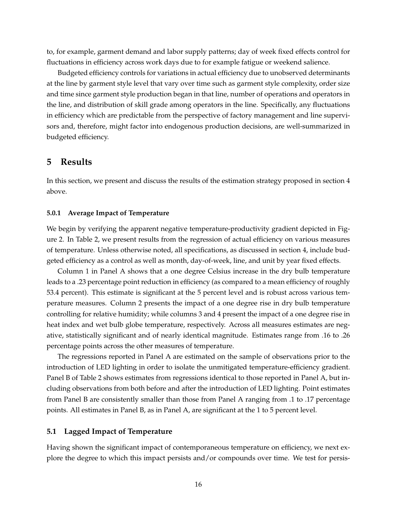to, for example, garment demand and labor supply patterns; day of week fixed effects control for fluctuations in efficiency across work days due to for example fatigue or weekend salience.

Budgeted efficiency controls for variations in actual efficiency due to unobserved determinants at the line by garment style level that vary over time such as garment style complexity, order size and time since garment style production began in that line, number of operations and operators in the line, and distribution of skill grade among operators in the line. Specifically, any fluctuations in efficiency which are predictable from the perspective of factory management and line supervisors and, therefore, might factor into endogenous production decisions, are well-summarized in budgeted efficiency.

### **5 Results**

In this section, we present and discuss the results of the estimation strategy proposed in section 4 above.

#### **5.0.1 Average Impact of Temperature**

We begin by verifying the apparent negative temperature-productivity gradient depicted in Figure 2. In Table 2, we present results from the regression of actual efficiency on various measures of temperature. Unless otherwise noted, all specifications, as discussed in section 4, include budgeted efficiency as a control as well as month, day-of-week, line, and unit by year fixed effects.

Column 1 in Panel A shows that a one degree Celsius increase in the dry bulb temperature leads to a .23 percentage point reduction in efficiency (as compared to a mean efficiency of roughly 53.4 percent). This estimate is significant at the 5 percent level and is robust across various temperature measures. Column 2 presents the impact of a one degree rise in dry bulb temperature controlling for relative humidity; while columns 3 and 4 present the impact of a one degree rise in heat index and wet bulb globe temperature, respectively. Across all measures estimates are negative, statistically significant and of nearly identical magnitude. Estimates range from .16 to .26 percentage points across the other measures of temperature.

The regressions reported in Panel A are estimated on the sample of observations prior to the introduction of LED lighting in order to isolate the unmitigated temperature-efficiency gradient. Panel B of Table 2 shows estimates from regressions identical to those reported in Panel A, but including observations from both before and after the introduction of LED lighting. Point estimates from Panel B are consistently smaller than those from Panel A ranging from .1 to .17 percentage points. All estimates in Panel B, as in Panel A, are significant at the 1 to 5 percent level.

#### **5.1 Lagged Impact of Temperature**

Having shown the significant impact of contemporaneous temperature on efficiency, we next explore the degree to which this impact persists and/or compounds over time. We test for persis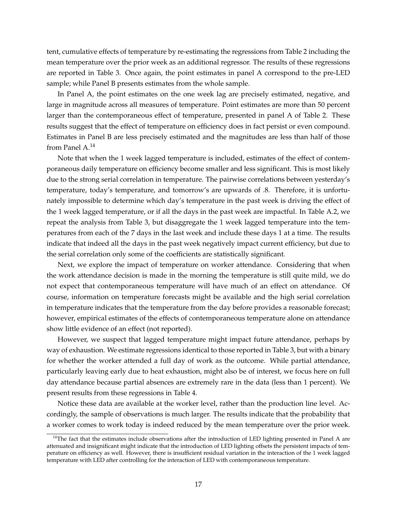tent, cumulative effects of temperature by re-estimating the regressions from Table 2 including the mean temperature over the prior week as an additional regressor. The results of these regressions are reported in Table 3. Once again, the point estimates in panel A correspond to the pre-LED sample; while Panel B presents estimates from the whole sample.

In Panel A, the point estimates on the one week lag are precisely estimated, negative, and large in magnitude across all measures of temperature. Point estimates are more than 50 percent larger than the contemporaneous effect of temperature, presented in panel A of Table 2. These results suggest that the effect of temperature on efficiency does in fact persist or even compound. Estimates in Panel B are less precisely estimated and the magnitudes are less than half of those from Panel  $A<sup>14</sup>$ 

Note that when the 1 week lagged temperature is included, estimates of the effect of contemporaneous daily temperature on efficiency become smaller and less significant. This is most likely due to the strong serial correlation in temperature. The pairwise correlations between yesterday's temperature, today's temperature, and tomorrow's are upwards of .8. Therefore, it is unfortunately impossible to determine which day's temperature in the past week is driving the effect of the 1 week lagged temperature, or if all the days in the past week are impactful. In Table A.2, we repeat the analysis from Table 3, but disaggregate the 1 week lagged temperature into the temperatures from each of the 7 days in the last week and include these days 1 at a time. The results indicate that indeed all the days in the past week negatively impact current efficiency, but due to the serial correlation only some of the coefficients are statistically significant.

Next, we explore the impact of temperature on worker attendance. Considering that when the work attendance decision is made in the morning the temperature is still quite mild, we do not expect that contemporaneous temperature will have much of an effect on attendance. Of course, information on temperature forecasts might be available and the high serial correlation in temperature indicates that the temperature from the day before provides a reasonable forecast; however, empirical estimates of the effects of contemporaneous temperature alone on attendance show little evidence of an effect (not reported).

However, we suspect that lagged temperature might impact future attendance, perhaps by way of exhaustion. We estimate regressions identical to those reported in Table 3, but with a binary for whether the worker attended a full day of work as the outcome. While partial attendance, particularly leaving early due to heat exhaustion, might also be of interest, we focus here on full day attendance because partial absences are extremely rare in the data (less than 1 percent). We present results from these regressions in Table 4.

Notice these data are available at the worker level, rather than the production line level. Accordingly, the sample of observations is much larger. The results indicate that the probability that a worker comes to work today is indeed reduced by the mean temperature over the prior week.

 $14$ The fact that the estimates include observations after the introduction of LED lighting presented in Panel A are attenuated and insignificant might indicate that the introduction of LED lighting offsets the persistent impacts of temperature on efficiency as well. However, there is insufficient residual variation in the interaction of the 1 week lagged temperature with LED after controlling for the interaction of LED with contemporaneous temperature.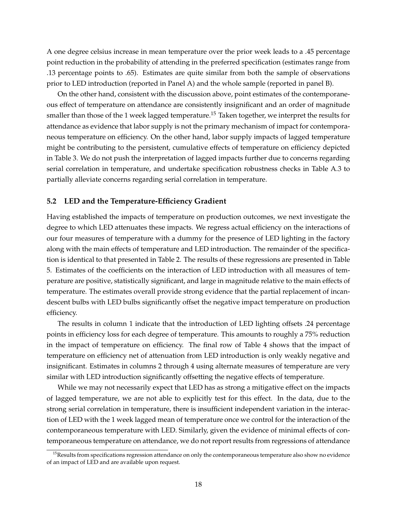A one degree celsius increase in mean temperature over the prior week leads to a .45 percentage point reduction in the probability of attending in the preferred specification (estimates range from .13 percentage points to .65). Estimates are quite similar from both the sample of observations prior to LED introduction (reported in Panel A) and the whole sample (reported in panel B).

On the other hand, consistent with the discussion above, point estimates of the contemporaneous effect of temperature on attendance are consistently insignificant and an order of magnitude smaller than those of the 1 week lagged temperature.<sup>15</sup> Taken together, we interpret the results for attendance as evidence that labor supply is not the primary mechanism of impact for contemporaneous temperature on efficiency. On the other hand, labor supply impacts of lagged temperature might be contributing to the persistent, cumulative effects of temperature on efficiency depicted in Table 3. We do not push the interpretation of lagged impacts further due to concerns regarding serial correlation in temperature, and undertake specification robustness checks in Table A.3 to partially alleviate concerns regarding serial correlation in temperature.

#### **5.2 LED and the Temperature-Efficiency Gradient**

Having established the impacts of temperature on production outcomes, we next investigate the degree to which LED attenuates these impacts. We regress actual efficiency on the interactions of our four measures of temperature with a dummy for the presence of LED lighting in the factory along with the main effects of temperature and LED introduction. The remainder of the specification is identical to that presented in Table 2. The results of these regressions are presented in Table 5. Estimates of the coefficients on the interaction of LED introduction with all measures of temperature are positive, statistically significant, and large in magnitude relative to the main effects of temperature. The estimates overall provide strong evidence that the partial replacement of incandescent bulbs with LED bulbs significantly offset the negative impact temperature on production efficiency.

The results in column 1 indicate that the introduction of LED lighting offsets .24 percentage points in efficiency loss for each degree of temperature. This amounts to roughly a 75% reduction in the impact of temperature on efficiency. The final row of Table 4 shows that the impact of temperature on efficiency net of attenuation from LED introduction is only weakly negative and insignificant. Estimates in columns 2 through 4 using alternate measures of temperature are very similar with LED introduction significantly offsetting the negative effects of temperature.

While we may not necessarily expect that LED has as strong a mitigative effect on the impacts of lagged temperature, we are not able to explicitly test for this effect. In the data, due to the strong serial correlation in temperature, there is insufficient independent variation in the interaction of LED with the 1 week lagged mean of temperature once we control for the interaction of the contemporaneous temperature with LED. Similarly, given the evidence of minimal effects of contemporaneous temperature on attendance, we do not report results from regressions of attendance

 $15$ Results from specifications regression attendance on only the contemporaneous temperature also show no evidence of an impact of LED and are available upon request.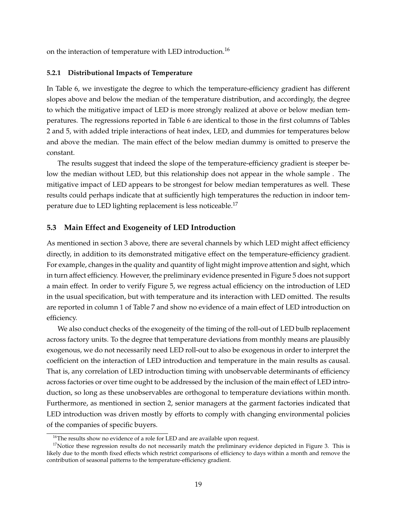on the interaction of temperature with LED introduction.<sup>16</sup>

#### **5.2.1 Distributional Impacts of Temperature**

In Table 6, we investigate the degree to which the temperature-efficiency gradient has different slopes above and below the median of the temperature distribution, and accordingly, the degree to which the mitigative impact of LED is more strongly realized at above or below median temperatures. The regressions reported in Table 6 are identical to those in the first columns of Tables 2 and 5, with added triple interactions of heat index, LED, and dummies for temperatures below and above the median. The main effect of the below median dummy is omitted to preserve the constant.

The results suggest that indeed the slope of the temperature-efficiency gradient is steeper below the median without LED, but this relationship does not appear in the whole sample . The mitigative impact of LED appears to be strongest for below median temperatures as well. These results could perhaps indicate that at sufficiently high temperatures the reduction in indoor temperature due to LED lighting replacement is less noticeable.<sup>17</sup>

#### **5.3 Main Effect and Exogeneity of LED Introduction**

As mentioned in section 3 above, there are several channels by which LED might affect efficiency directly, in addition to its demonstrated mitigative effect on the temperature-efficiency gradient. For example, changes in the quality and quantity of light might improve attention and sight, which in turn affect efficiency. However, the preliminary evidence presented in Figure 5 does not support a main effect. In order to verify Figure 5, we regress actual efficiency on the introduction of LED in the usual specification, but with temperature and its interaction with LED omitted. The results are reported in column 1 of Table 7 and show no evidence of a main effect of LED introduction on efficiency.

We also conduct checks of the exogeneity of the timing of the roll-out of LED bulb replacement across factory units. To the degree that temperature deviations from monthly means are plausibly exogenous, we do not necessarily need LED roll-out to also be exogenous in order to interpret the coefficient on the interaction of LED introduction and temperature in the main results as causal. That is, any correlation of LED introduction timing with unobservable determinants of efficiency across factories or over time ought to be addressed by the inclusion of the main effect of LED introduction, so long as these unobservables are orthogonal to temperature deviations within month. Furthermore, as mentioned in section 2, senior managers at the garment factories indicated that LED introduction was driven mostly by efforts to comply with changing environmental policies of the companies of specific buyers.

 $16$ <sup>16</sup>The results show no evidence of a role for LED and are available upon request.

 $17$ Notice these regression results do not necessarily match the preliminary evidence depicted in Figure 3. This is likely due to the month fixed effects which restrict comparisons of efficiency to days within a month and remove the contribution of seasonal patterns to the temperature-efficiency gradient.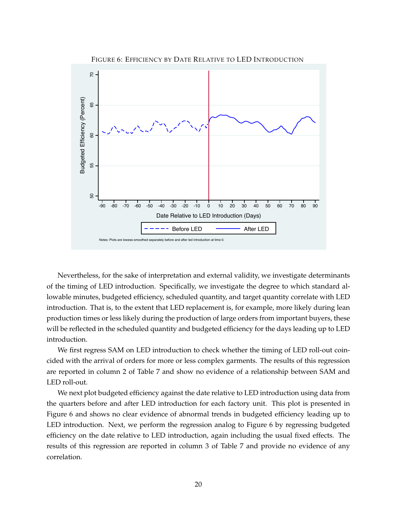

Nevertheless, for the sake of interpretation and external validity, we investigate determinants of the timing of LED introduction. Specifically, we investigate the degree to which standard allowable minutes, budgeted efficiency, scheduled quantity, and target quantity correlate with LED introduction. That is, to the extent that LED replacement is, for example, more likely during lean production times or less likely during the production of large orders from important buyers, these will be reflected in the scheduled quantity and budgeted efficiency for the days leading up to LED introduction.

We first regress SAM on LED introduction to check whether the timing of LED roll-out coincided with the arrival of orders for more or less complex garments. The results of this regression are reported in column 2 of Table 7 and show no evidence of a relationship between SAM and LED roll-out.

We next plot budgeted efficiency against the date relative to LED introduction using data from the quarters before and after LED introduction for each factory unit. This plot is presented in Figure 6 and shows no clear evidence of abnormal trends in budgeted efficiency leading up to LED introduction. Next, we perform the regression analog to Figure 6 by regressing budgeted efficiency on the date relative to LED introduction, again including the usual fixed effects. The results of this regression are reported in column 3 of Table 7 and provide no evidence of any correlation.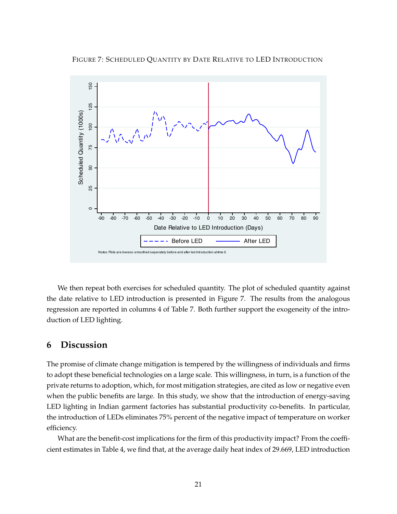FIGURE 7: SCHEDULED QUANTITY BY DATE RELATIVE TO LED INTRODUCTION



We then repeat both exercises for scheduled quantity. The plot of scheduled quantity against the date relative to LED introduction is presented in Figure 7. The results from the analogous regression are reported in columns 4 of Table 7. Both further support the exogeneity of the introduction of LED lighting.

### **6 Discussion**

The promise of climate change mitigation is tempered by the willingness of individuals and firms to adopt these beneficial technologies on a large scale. This willingness, in turn, is a function of the private returns to adoption, which, for most mitigation strategies, are cited as low or negative even when the public benefits are large. In this study, we show that the introduction of energy-saving LED lighting in Indian garment factories has substantial productivity co-benefits. In particular, the introduction of LEDs eliminates 75% percent of the negative impact of temperature on worker efficiency.

What are the benefit-cost implications for the firm of this productivity impact? From the coefficient estimates in Table 4, we find that, at the average daily heat index of 29.669, LED introduction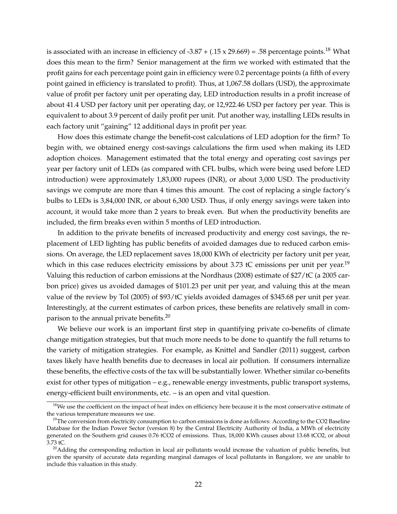is associated with an increase in efficiency of -3.87 + (.15 x 29.669) = .58 percentage points.<sup>18</sup> What does this mean to the firm? Senior management at the firm we worked with estimated that the profit gains for each percentage point gain in efficiency were 0.2 percentage points (a fifth of every point gained in efficiency is translated to profit). Thus, at 1,067.58 dollars (USD), the approximate value of profit per factory unit per operating day, LED introduction results in a profit increase of about 41.4 USD per factory unit per operating day, or 12,922.46 USD per factory per year. This is equivalent to about 3.9 percent of daily profit per unit. Put another way, installing LEDs results in each factory unit "gaining" 12 additional days in profit per year.

How does this estimate change the benefit-cost calculations of LED adoption for the firm? To begin with, we obtained energy cost-savings calculations the firm used when making its LED adoption choices. Management estimated that the total energy and operating cost savings per year per factory unit of LEDs (as compared with CFL bulbs, which were being used before LED introduction) were approximately 1,83,000 rupees (INR), or about 3,000 USD. The productivity savings we compute are more than 4 times this amount. The cost of replacing a single factory's bulbs to LEDs is 3,84,000 INR, or about 6,300 USD. Thus, if only energy savings were taken into account, it would take more than 2 years to break even. But when the productivity benefits are included, the firm breaks even within 5 months of LED introduction.

In addition to the private benefits of increased productivity and energy cost savings, the replacement of LED lighting has public benefits of avoided damages due to reduced carbon emissions. On average, the LED replacement saves 18,000 KWh of electricity per factory unit per year, which in this case reduces electricity emissions by about 3.73  $\text{t}$ C emissions per unit per year.<sup>19</sup> Valuing this reduction of carbon emissions at the Nordhaus (2008) estimate of \$27/tC (a 2005 carbon price) gives us avoided damages of \$101.23 per unit per year, and valuing this at the mean value of the review by Tol (2005) of \$93/tC yields avoided damages of \$345.68 per unit per year. Interestingly, at the current estimates of carbon prices, these benefits are relatively small in comparison to the annual private benefits.<sup>20</sup>

We believe our work is an important first step in quantifying private co-benefits of climate change mitigation strategies, but that much more needs to be done to quantify the full returns to the variety of mitigation strategies. For example, as Knittel and Sandler (2011) suggest, carbon taxes likely have health benefits due to decreases in local air pollution. If consumers internalize these benefits, the effective costs of the tax will be substantially lower. Whether similar co-benefits exist for other types of mitigation – e.g., renewable energy investments, public transport systems, energy-efficient built environments, etc. – is an open and vital question.

<sup>&</sup>lt;sup>18</sup>We use the coefficient on the impact of heat index on efficiency here because it is the most conservative estimate of the various temperature measures we use.

<sup>&</sup>lt;sup>19</sup>The conversion from electricity consumption to carbon emissions is done as follows: According to the CO2 Baseline Database for the Indian Power Sector (version 8) by the Central Electricity Authority of India, a MWh of electricity generated on the Southern grid causes 0.76 tCO2 of emissions. Thus, 18,000 KWh causes about 13.68 tCO2, or about 3.73 tC.

 $20$ Adding the corresponding reduction in local air pollutants would increase the valuation of public benefits, but given the sparsity of accurate data regarding marginal damages of local pollutants in Bangalore, we are unable to include this valuation in this study.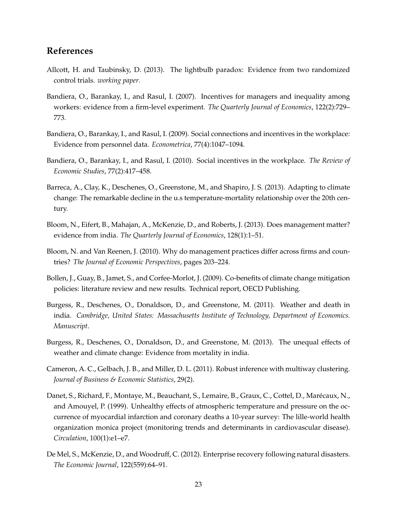## **References**

- Allcott, H. and Taubinsky, D. (2013). The lightbulb paradox: Evidence from two randomized control trials. *working paper*.
- Bandiera, O., Barankay, I., and Rasul, I. (2007). Incentives for managers and inequality among workers: evidence from a firm-level experiment. *The Quarterly Journal of Economics*, 122(2):729– 773.
- Bandiera, O., Barankay, I., and Rasul, I. (2009). Social connections and incentives in the workplace: Evidence from personnel data. *Econometrica*, 77(4):1047–1094.
- Bandiera, O., Barankay, I., and Rasul, I. (2010). Social incentives in the workplace. *The Review of Economic Studies*, 77(2):417–458.
- Barreca, A., Clay, K., Deschenes, O., Greenstone, M., and Shapiro, J. S. (2013). Adapting to climate change: The remarkable decline in the u.s temperature-mortality relationship over the 20th century.
- Bloom, N., Eifert, B., Mahajan, A., McKenzie, D., and Roberts, J. (2013). Does management matter? evidence from india. *The Quarterly Journal of Economics*, 128(1):1–51.
- Bloom, N. and Van Reenen, J. (2010). Why do management practices differ across firms and countries? *The Journal of Economic Perspectives*, pages 203–224.
- Bollen, J., Guay, B., Jamet, S., and Corfee-Morlot, J. (2009). Co-benefits of climate change mitigation policies: literature review and new results. Technical report, OECD Publishing.
- Burgess, R., Deschenes, O., Donaldson, D., and Greenstone, M. (2011). Weather and death in india. *Cambridge, United States: Massachusetts Institute of Technology, Department of Economics. Manuscript*.
- Burgess, R., Deschenes, O., Donaldson, D., and Greenstone, M. (2013). The unequal effects of weather and climate change: Evidence from mortality in india.
- Cameron, A. C., Gelbach, J. B., and Miller, D. L. (2011). Robust inference with multiway clustering. *Journal of Business & Economic Statistics*, 29(2).
- Danet, S., Richard, F., Montaye, M., Beauchant, S., Lemaire, B., Graux, C., Cottel, D., Marecaux, N., ´ and Amouyel, P. (1999). Unhealthy effects of atmospheric temperature and pressure on the occurrence of myocardial infarction and coronary deaths a 10-year survey: The lille-world health organization monica project (monitoring trends and determinants in cardiovascular disease). *Circulation*, 100(1):e1–e7.
- De Mel, S., McKenzie, D., and Woodruff, C. (2012). Enterprise recovery following natural disasters. *The Economic Journal*, 122(559):64–91.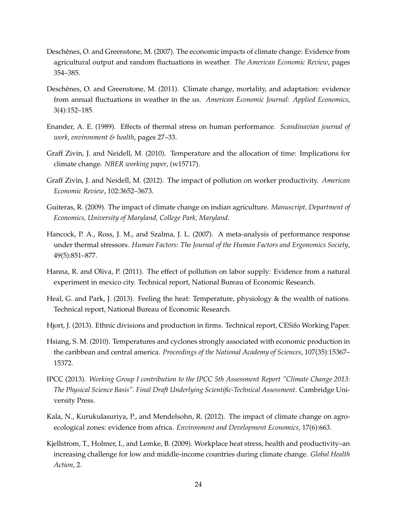- Deschênes, O. and Greenstone, M. (2007). The economic impacts of climate change: Evidence from agricultural output and random fluctuations in weather. *The American Economic Review*, pages 354–385.
- Deschênes, O. and Greenstone, M. (2011). Climate change, mortality, and adaptation: evidence from annual fluctuations in weather in the us. *American Economic Journal: Applied Economics*, 3(4):152–185.
- Enander, A. E. (1989). Effects of thermal stress on human performance. *Scandinavian journal of work, environment & health*, pages 27–33.
- Graff Zivin, J. and Neidell, M. (2010). Temperature and the allocation of time: Implications for climate change. *NBER working paper*, (w15717).
- Graff Zivin, J. and Neidell, M. (2012). The impact of pollution on worker productivity. *American Economic Review*, 102:3652–3673.
- Guiteras, R. (2009). The impact of climate change on indian agriculture. *Manuscript, Department of Economics, University of Maryland, College Park, Maryland*.
- Hancock, P. A., Ross, J. M., and Szalma, J. L. (2007). A meta-analysis of performance response under thermal stressors. *Human Factors: The Journal of the Human Factors and Ergonomics Society*, 49(5):851–877.
- Hanna, R. and Oliva, P. (2011). The effect of pollution on labor supply: Evidence from a natural experiment in mexico city. Technical report, National Bureau of Economic Research.
- Heal, G. and Park, J. (2013). Feeling the heat: Temperature, physiology & the wealth of nations. Technical report, National Bureau of Economic Research.
- Hjort, J. (2013). Ethnic divisions and production in firms. Technical report, CESifo Working Paper.
- Hsiang, S. M. (2010). Temperatures and cyclones strongly associated with economic production in the caribbean and central america. *Proceedings of the National Academy of Sciences*, 107(35):15367– 15372.
- IPCC (2013). *Working Group I contribution to the IPCC 5th Assessment Report "Climate Change 2013: The Physical Science Basis". Final Draft Underlying Scientific-Technical Assessment*. Cambridge University Press.
- Kala, N., Kurukulasuriya, P., and Mendelsohn, R. (2012). The impact of climate change on agroecological zones: evidence from africa. *Environment and Development Economics*, 17(6):663.
- Kjellstrom, T., Holmer, I., and Lemke, B. (2009). Workplace heat stress, health and productivity–an increasing challenge for low and middle-income countries during climate change. *Global Health Action*, 2.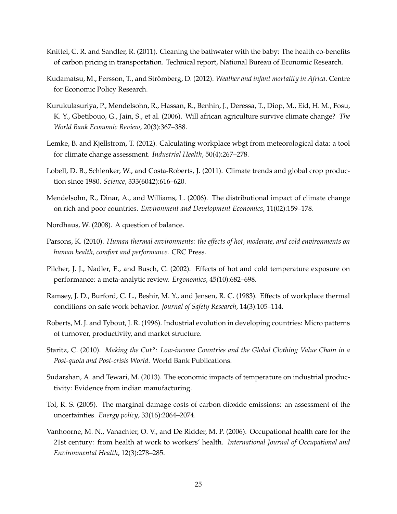- Knittel, C. R. and Sandler, R. (2011). Cleaning the bathwater with the baby: The health co-benefits of carbon pricing in transportation. Technical report, National Bureau of Economic Research.
- Kudamatsu, M., Persson, T., and Strömberg, D. (2012). *Weather and infant mortality in Africa*. Centre for Economic Policy Research.
- Kurukulasuriya, P., Mendelsohn, R., Hassan, R., Benhin, J., Deressa, T., Diop, M., Eid, H. M., Fosu, K. Y., Gbetibouo, G., Jain, S., et al. (2006). Will african agriculture survive climate change? *The World Bank Economic Review*, 20(3):367–388.
- Lemke, B. and Kjellstrom, T. (2012). Calculating workplace wbgt from meteorological data: a tool for climate change assessment. *Industrial Health*, 50(4):267–278.
- Lobell, D. B., Schlenker, W., and Costa-Roberts, J. (2011). Climate trends and global crop production since 1980. *Science*, 333(6042):616–620.
- Mendelsohn, R., Dinar, A., and Williams, L. (2006). The distributional impact of climate change on rich and poor countries. *Environment and Development Economics*, 11(02):159–178.
- Nordhaus, W. (2008). A question of balance.
- Parsons, K. (2010). *Human thermal environments: the effects of hot, moderate, and cold environments on human health, comfort and performance*. CRC Press.
- Pilcher, J. J., Nadler, E., and Busch, C. (2002). Effects of hot and cold temperature exposure on performance: a meta-analytic review. *Ergonomics*, 45(10):682–698.
- Ramsey, J. D., Burford, C. L., Beshir, M. Y., and Jensen, R. C. (1983). Effects of workplace thermal conditions on safe work behavior. *Journal of Safety Research*, 14(3):105–114.
- Roberts, M. J. and Tybout, J. R. (1996). Industrial evolution in developing countries: Micro patterns of turnover, productivity, and market structure.
- Staritz, C. (2010). *Making the Cut?: Low-income Countries and the Global Clothing Value Chain in a Post-quota and Post-crisis World*. World Bank Publications.
- Sudarshan, A. and Tewari, M. (2013). The economic impacts of temperature on industrial productivity: Evidence from indian manufacturing.
- Tol, R. S. (2005). The marginal damage costs of carbon dioxide emissions: an assessment of the uncertainties. *Energy policy*, 33(16):2064–2074.
- Vanhoorne, M. N., Vanachter, O. V., and De Ridder, M. P. (2006). Occupational health care for the 21st century: from health at work to workers' health. *International Journal of Occupational and Environmental Health*, 12(3):278–285.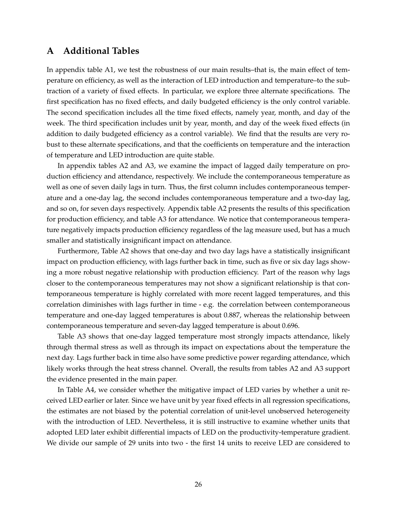### **A Additional Tables**

In appendix table A1, we test the robustness of our main results–that is, the main effect of temperature on efficiency, as well as the interaction of LED introduction and temperature–to the subtraction of a variety of fixed effects. In particular, we explore three alternate specifications. The first specification has no fixed effects, and daily budgeted efficiency is the only control variable. The second specification includes all the time fixed effects, namely year, month, and day of the week. The third specification includes unit by year, month, and day of the week fixed effects (in addition to daily budgeted efficiency as a control variable). We find that the results are very robust to these alternate specifications, and that the coefficients on temperature and the interaction of temperature and LED introduction are quite stable.

In appendix tables A2 and A3, we examine the impact of lagged daily temperature on production efficiency and attendance, respectively. We include the contemporaneous temperature as well as one of seven daily lags in turn. Thus, the first column includes contemporaneous temperature and a one-day lag, the second includes contemporaneous temperature and a two-day lag, and so on, for seven days respectively. Appendix table A2 presents the results of this specification for production efficiency, and table A3 for attendance. We notice that contemporaneous temperature negatively impacts production efficiency regardless of the lag measure used, but has a much smaller and statistically insignificant impact on attendance.

Furthermore, Table A2 shows that one-day and two day lags have a statistically insignificant impact on production efficiency, with lags further back in time, such as five or six day lags showing a more robust negative relationship with production efficiency. Part of the reason why lags closer to the contemporaneous temperatures may not show a significant relationship is that contemporaneous temperature is highly correlated with more recent lagged temperatures, and this correlation diminishes with lags further in time - e.g. the correlation between contemporaneous temperature and one-day lagged temperatures is about 0.887, whereas the relationship between contemporaneous temperature and seven-day lagged temperature is about 0.696.

Table A3 shows that one-day lagged temperature most strongly impacts attendance, likely through thermal stress as well as through its impact on expectations about the temperature the next day. Lags further back in time also have some predictive power regarding attendance, which likely works through the heat stress channel. Overall, the results from tables A2 and A3 support the evidence presented in the main paper.

In Table A4, we consider whether the mitigative impact of LED varies by whether a unit received LED earlier or later. Since we have unit by year fixed effects in all regression specifications, the estimates are not biased by the potential correlation of unit-level unobserved heterogeneity with the introduction of LED. Nevertheless, it is still instructive to examine whether units that adopted LED later exhibit differential impacts of LED on the productivity-temperature gradient. We divide our sample of 29 units into two - the first 14 units to receive LED are considered to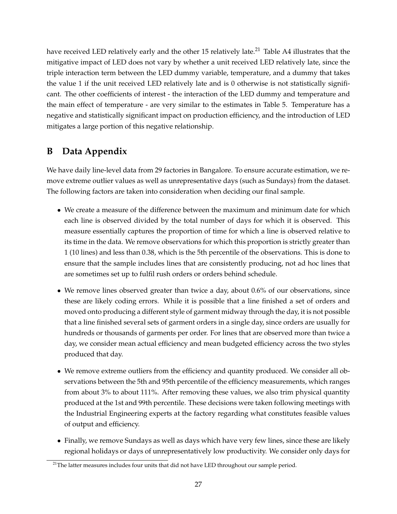have received LED relatively early and the other 15 relatively late.<sup>21</sup> Table A4 illustrates that the mitigative impact of LED does not vary by whether a unit received LED relatively late, since the triple interaction term between the LED dummy variable, temperature, and a dummy that takes the value 1 if the unit received LED relatively late and is 0 otherwise is not statistically significant. The other coefficients of interest - the interaction of the LED dummy and temperature and the main effect of temperature - are very similar to the estimates in Table 5. Temperature has a negative and statistically significant impact on production efficiency, and the introduction of LED mitigates a large portion of this negative relationship.

## **B Data Appendix**

We have daily line-level data from 29 factories in Bangalore. To ensure accurate estimation, we remove extreme outlier values as well as unrepresentative days (such as Sundays) from the dataset. The following factors are taken into consideration when deciding our final sample.

- We create a measure of the difference between the maximum and minimum date for which each line is observed divided by the total number of days for which it is observed. This measure essentially captures the proportion of time for which a line is observed relative to its time in the data. We remove observations for which this proportion is strictly greater than 1 (10 lines) and less than 0.38, which is the 5th percentile of the observations. This is done to ensure that the sample includes lines that are consistently producing, not ad hoc lines that are sometimes set up to fulfil rush orders or orders behind schedule.
- We remove lines observed greater than twice a day, about 0.6% of our observations, since these are likely coding errors. While it is possible that a line finished a set of orders and moved onto producing a different style of garment midway through the day, it is not possible that a line finished several sets of garment orders in a single day, since orders are usually for hundreds or thousands of garments per order. For lines that are observed more than twice a day, we consider mean actual efficiency and mean budgeted efficiency across the two styles produced that day.
- We remove extreme outliers from the efficiency and quantity produced. We consider all observations between the 5th and 95th percentile of the efficiency measurements, which ranges from about 3% to about 111%. After removing these values, we also trim physical quantity produced at the 1st and 99th percentile. These decisions were taken following meetings with the Industrial Engineering experts at the factory regarding what constitutes feasible values of output and efficiency.
- Finally, we remove Sundays as well as days which have very few lines, since these are likely regional holidays or days of unrepresentatively low productivity. We consider only days for

 $21$ The latter measures includes four units that did not have LED throughout our sample period.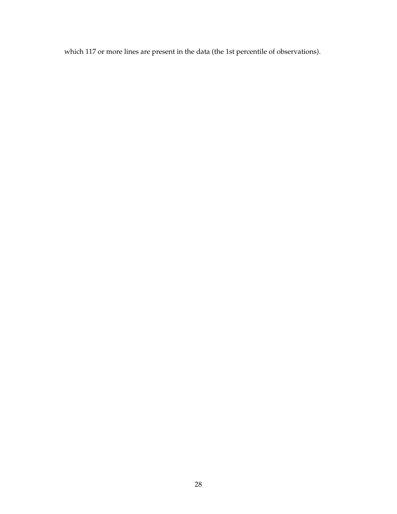which 117 or more lines are present in the data (the 1st percentile of observations).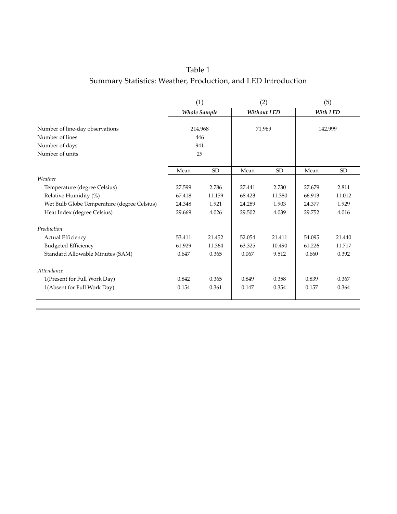## Table 1 Summary Statistics: Weather, Production, and LED Introduction

|                                                                                         | (1)                         |                     | (2)    |                    | (5)    |           |
|-----------------------------------------------------------------------------------------|-----------------------------|---------------------|--------|--------------------|--------|-----------|
|                                                                                         |                             | <b>Whole Sample</b> |        | <b>Without LED</b> |        | With LED  |
| Number of line-day observations<br>Number of lines<br>Number of days<br>Number of units | 214,968<br>446<br>941<br>29 |                     |        | 71,969             |        | 142,999   |
|                                                                                         | Mean                        | <b>SD</b>           | Mean   | <b>SD</b>          | Mean   | <b>SD</b> |
| Weather                                                                                 |                             |                     |        |                    |        |           |
| Temperature (degree Celsius)                                                            | 27.599                      | 2.786               | 27.441 | 2.730              | 27.679 | 2.811     |
| Relative Humidity (%)                                                                   | 67.418                      | 11.159              | 68.423 | 11.380             | 66.913 | 11.012    |
| Wet Bulb Globe Temperature (degree Celsius)                                             | 24.348                      | 1.921               | 24.289 | 1.903              | 24.377 | 1.929     |
| Heat Index (degree Celsius)                                                             | 29.669                      | 4.026               | 29.502 | 4.039              | 29.752 | 4.016     |
| Production                                                                              |                             |                     |        |                    |        |           |
| <b>Actual Efficiency</b>                                                                | 53.411                      | 21.452              | 52.054 | 21.411             | 54.095 | 21.440    |
| <b>Budgeted Efficiency</b>                                                              | 61.929                      | 11.364              | 63.325 | 10.490             | 61.226 | 11.717    |
| Standard Allowable Minutes (SAM)                                                        | 0.647                       | 0.365               | 0.067  | 9.512              | 0.660  | 0.392     |
| Attendance                                                                              |                             |                     |        |                    |        |           |
| 1(Present for Full Work Day)                                                            | 0.842                       | 0.365               | 0.849  | 0.358              | 0.839  | 0.367     |
| 1(Absent for Full Work Day)                                                             | 0.154                       | 0.361               | 0.147  | 0.354              | 0.157  | 0.364     |
|                                                                                         |                             |                     |        |                    |        |           |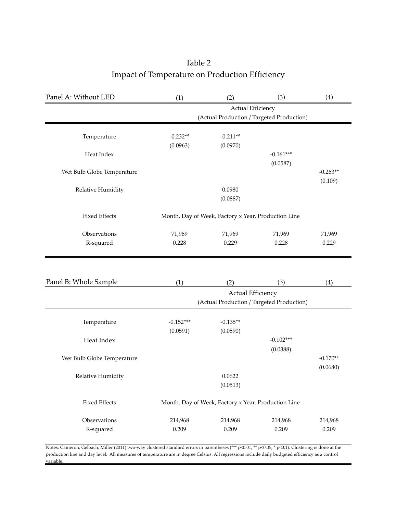## Table 2 Impact of Temperature on Production Efficiency

| Panel A: Without LED       | (1)               | (2)                                                 | (3)                                       | (4)                   |  |  |
|----------------------------|-------------------|-----------------------------------------------------|-------------------------------------------|-----------------------|--|--|
|                            | Actual Efficiency |                                                     |                                           |                       |  |  |
|                            |                   |                                                     | (Actual Production / Targeted Production) |                       |  |  |
|                            |                   |                                                     |                                           |                       |  |  |
| Temperature                | $-0.232**$        | $-0.211**$                                          |                                           |                       |  |  |
|                            | (0.0963)          | (0.0970)                                            |                                           |                       |  |  |
| Heat Index                 |                   |                                                     | $-0.161***$                               |                       |  |  |
|                            |                   |                                                     | (0.0587)                                  |                       |  |  |
| Wet Bulb Globe Temperature |                   |                                                     |                                           | $-0.263**$<br>(0.109) |  |  |
|                            | 0.0980            |                                                     |                                           |                       |  |  |
| Relative Humidity          |                   | (0.0887)                                            |                                           |                       |  |  |
|                            |                   |                                                     |                                           |                       |  |  |
| <b>Fixed Effects</b>       |                   | Month, Day of Week, Factory x Year, Production Line |                                           |                       |  |  |
|                            |                   |                                                     |                                           |                       |  |  |
| Observations               | 71,969            | 71,969                                              | 71,969                                    | 71,969                |  |  |
| R-squared                  | 0.228             | 0.229                                               | 0.228                                     | 0.229                 |  |  |
|                            |                   |                                                     |                                           |                       |  |  |
|                            |                   |                                                     |                                           |                       |  |  |
|                            |                   |                                                     |                                           |                       |  |  |
| Panel B: Whole Sample      | (1)               | (2)                                                 | (3)                                       | (4)                   |  |  |
|                            |                   | <b>Actual Efficiency</b>                            |                                           |                       |  |  |
|                            |                   |                                                     | (Actual Production / Targeted Production) |                       |  |  |
|                            |                   |                                                     |                                           |                       |  |  |
| Temperature                | $-0.152***$       | $-0.135**$                                          |                                           |                       |  |  |
|                            | (0.0591)          | (0.0590)                                            |                                           |                       |  |  |
| Heat Index                 |                   |                                                     | $-0.102***$                               |                       |  |  |
|                            |                   |                                                     | (0.0388)                                  |                       |  |  |
| Wet Bulb Globe Temperature |                   |                                                     |                                           | $-0.170**$            |  |  |
|                            |                   | 0.0622                                              |                                           | (0.0680)              |  |  |
| Relative Humidity          |                   | (0.0513)                                            |                                           |                       |  |  |
|                            |                   |                                                     |                                           |                       |  |  |
| <b>Fixed Effects</b>       |                   | Month, Day of Week, Factory x Year, Production Line |                                           |                       |  |  |
|                            |                   |                                                     |                                           |                       |  |  |
| Observations               | 214,968           | 214,968                                             | 214,968                                   | 214,968               |  |  |
| R-squared                  | 0.209             | 0.209                                               | 0.209                                     | 0.209                 |  |  |
|                            |                   |                                                     |                                           |                       |  |  |

Notes: Cameron, Gelbach, Miller (2011) two-way clustered standard errors in parentheses (\*\*\* p<0.01, \*\* p<0.05, \* p<0.1). Clustering is done at the production line and day level. All measures of temperature are in degree Celsius. All regressions include daily budgeted efficiency as a control variable.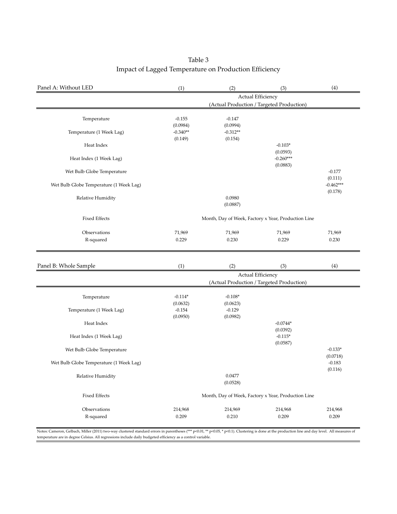### Table 3 Impact of Lagged Temperature on Production Efficiency

| Panel A: Without LED                    | (1)                               | (2)                               | (3)                                                 | (4)                    |
|-----------------------------------------|-----------------------------------|-----------------------------------|-----------------------------------------------------|------------------------|
|                                         |                                   |                                   | Actual Efficiency                                   |                        |
|                                         |                                   |                                   | (Actual Production / Targeted Production)           |                        |
| Temperature                             | $-0.155$<br>(0.0984)              | $-0.147$<br>(0.0994)              |                                                     |                        |
| Temperature (1 Week Lag)                | $-0.340**$<br>(0.149)             | $-0.312**$<br>(0.154)             |                                                     |                        |
| Heat Index                              |                                   |                                   | $-0.103*$<br>(0.0593)                               |                        |
| Heat Index (1 Week Lag)                 |                                   |                                   | $-0.260***$<br>(0.0883)                             |                        |
| Wet Bulb Globe Temperature              |                                   |                                   |                                                     | $-0.177$<br>(0.111)    |
| Wet Bulb Globe Temperature (1 Week Lag) |                                   |                                   |                                                     | $-0.462***$<br>(0.178) |
| Relative Humidity                       |                                   | 0.0980<br>(0.0887)                |                                                     |                        |
| <b>Fixed Effects</b>                    |                                   |                                   | Month, Day of Week, Factory x Year, Production Line |                        |
| Observations<br>R-squared               | 71,969<br>0.229                   | 71,969<br>0.230                   | 71,969<br>0.229                                     | 71,969<br>0.230        |
| Panel B: Whole Sample                   | (1)                               | (2)                               | (3)<br>Actual Efficiency                            | (4)                    |
|                                         |                                   |                                   | (Actual Production / Targeted Production)           |                        |
| Temperature<br>Temperature (1 Week Lag) | $-0.114*$<br>(0.0632)<br>$-0.154$ | $-0.108*$<br>(0.0623)<br>$-0.129$ |                                                     |                        |
| Heat Index                              | (0.0950)                          | (0.0982)                          | $-0.0744*$                                          |                        |
| Heat Index (1 Week Lag)                 |                                   |                                   | (0.0392)<br>$-0.115*$                               |                        |
| Wet Bulb Globe Temperature              |                                   |                                   | (0.0587)                                            | $-0.133*$<br>(0.0718)  |
| Wet Bulb Globe Temperature (1 Week Lag) |                                   |                                   |                                                     | $-0.183$<br>(0.116)    |
| Relative Humidity                       |                                   | 0.0477<br>(0.0528)                |                                                     |                        |
| <b>Fixed Effects</b>                    |                                   |                                   | Month, Day of Week, Factory x Year, Production Line |                        |
| Observations                            | 214,968                           | 214,969                           | 214,968                                             | 214,968                |
| R-squared                               | 0.209                             | 0.210                             | 0.209                                               | 0.209                  |

Notes: Cameron, Gelbach, Miller (2011) two-way clustered standard errors in parentheses (\*\*\* p<0.01, \*\* p<0.05, \* p<0.1). Clustering is done at the production line and day level. All measures of temperature are in degree Celsius. All regressions include daily budgeted efficiency as a control variable.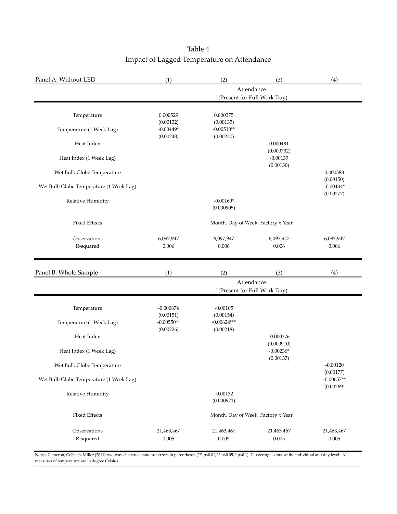| Table 4                                    |
|--------------------------------------------|
| Impact of Lagged Temperature on Attendance |

| Panel A: Without LED                    | (1)                       | (2)                        | (3)                                | (4)                       |
|-----------------------------------------|---------------------------|----------------------------|------------------------------------|---------------------------|
|                                         |                           |                            | Attendance                         |                           |
|                                         |                           |                            | 1(Present for Full Work Day)       |                           |
| Temperature                             | 0.000529                  | 0.000375                   |                                    |                           |
| Temperature (1 Week Lag)                | (0.00132)<br>$-0.00449*$  | (0.00135)<br>$-0.00510**$  |                                    |                           |
| Heat Index                              | (0.00248)                 | (0.00240)                  | 0.000481<br>(0.000732)             |                           |
| Heat Index (1 Week Lag)                 |                           |                            | $-0.00139$<br>(0.00130)            |                           |
| Wet Bulb Globe Temperature              |                           |                            |                                    | 0.000388<br>(0.00150)     |
| Wet Bulb Globe Temperature (1 Week Lag) |                           |                            |                                    | $-0.00484*$<br>(0.00277)  |
| Relative Humidity                       |                           | $-0.00169*$<br>(0.000905)  |                                    |                           |
| <b>Fixed Effects</b>                    |                           |                            | Month, Day of Week, Factory x Year |                           |
| Observations                            | 6,097,947                 | 6,097,947                  | 6,097,947                          | 6,097,947                 |
| R-squared                               | 0.006                     | 0.006                      | 0.006                              | 0.006                     |
| Panel B: Whole Sample                   | (1)                       | (2)                        | (3)                                | (4)                       |
|                                         |                           |                            | Attendance                         |                           |
|                                         |                           |                            | 1(Present for Full Work Day)       |                           |
| Temperature                             | $-0.000874$               | $-0.00105$                 |                                    |                           |
| Temperature (1 Week Lag)                | (0.00151)<br>$-0.00550**$ | (0.00154)<br>$-0.00624***$ |                                    |                           |
| Heat Index                              | (0.00226)                 | (0.00218)                  | $-0.000376$<br>(0.000910)          |                           |
| Heat Index (1 Week Lag)                 |                           |                            | $-0.00236*$<br>(0.00137)           |                           |
| Wet Bulb Globe Temperature              |                           |                            |                                    | $-0.00120$<br>(0.00177)   |
| Wet Bulb Globe Temperature (1 Week Lag) |                           |                            |                                    | $-0.00657**$<br>(0.00269) |
| Relative Humidity                       |                           | $-0.00132$<br>(0.000921)   |                                    |                           |
| <b>Fixed Effects</b>                    |                           |                            | Month, Day of Week, Factory x Year |                           |
| Observations                            | 21,463,467                | 21,463,467                 | 21,463,467                         | 21,463,467                |
| R-squared                               | 0.005                     | 0.005                      | 0.005                              | 0.005                     |

Notes: Cameron, Gelbach, Miller (2011) two-way clustered standard errors in parentheses (\*\*\* p<0.01, \*\* p<0.05, \* p<0.1). Clustering is done at the individual and day level. All measures of temperature are in degree Celsius.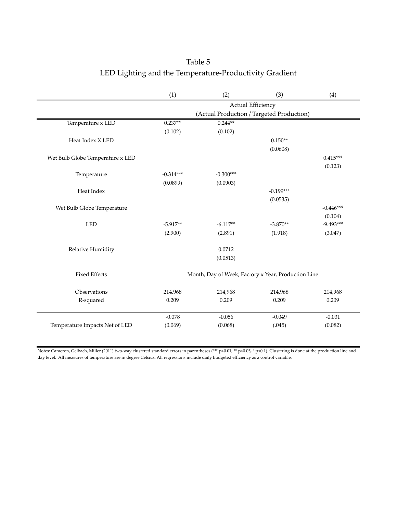## LED Lighting and the Temperature-Productivity Gradient Table 5

|                                  | (1)               | (2)                                                 | (3)         | (4)         |  |  |  |
|----------------------------------|-------------------|-----------------------------------------------------|-------------|-------------|--|--|--|
|                                  | Actual Efficiency |                                                     |             |             |  |  |  |
|                                  |                   | (Actual Production / Targeted Production)           |             |             |  |  |  |
| Temperature x LED                | $0.237**$         | $0.244**$                                           |             |             |  |  |  |
|                                  | (0.102)           | (0.102)                                             |             |             |  |  |  |
| Heat Index X LED                 |                   |                                                     | $0.150**$   |             |  |  |  |
|                                  |                   |                                                     | (0.0608)    |             |  |  |  |
| Wet Bulb Globe Temperature x LED |                   |                                                     |             | $0.415***$  |  |  |  |
|                                  |                   |                                                     |             | (0.123)     |  |  |  |
| Temperature                      | $-0.314***$       | $-0.300***$                                         |             |             |  |  |  |
|                                  | (0.0899)          | (0.0903)                                            |             |             |  |  |  |
| Heat Index                       |                   |                                                     | $-0.199***$ |             |  |  |  |
|                                  |                   |                                                     | (0.0535)    |             |  |  |  |
| Wet Bulb Globe Temperature       |                   |                                                     |             | $-0.446***$ |  |  |  |
|                                  |                   |                                                     |             | (0.104)     |  |  |  |
| <b>LED</b>                       | $-5.917**$        | $-6.117**$                                          | $-3.870**$  | $-9.493***$ |  |  |  |
|                                  | (2.900)           | (2.891)                                             | (1.918)     | (3.047)     |  |  |  |
| Relative Humidity                |                   | 0.0712                                              |             |             |  |  |  |
|                                  |                   | (0.0513)                                            |             |             |  |  |  |
|                                  |                   |                                                     |             |             |  |  |  |
| <b>Fixed Effects</b>             |                   | Month, Day of Week, Factory x Year, Production Line |             |             |  |  |  |
| Observations                     | 214,968           | 214,968                                             | 214,968     | 214,968     |  |  |  |
| R-squared                        | 0.209             | 0.209                                               | 0.209       | 0.209       |  |  |  |
|                                  |                   |                                                     |             |             |  |  |  |
|                                  | $-0.078$          | $-0.056$                                            | $-0.049$    | $-0.031$    |  |  |  |
| Temperature Impacts Net of LED   | (0.069)           | (0.068)                                             | (.045)      | (0.082)     |  |  |  |
|                                  |                   |                                                     |             |             |  |  |  |

Notes: Cameron, Gelbach, Miller (2011) two-way clustered standard errors in parentheses (\*\*\* p<0.01, \*\* p<0.05, \* p<0.1). Clustering is done at the production line and day level. All measures of temperature are in degree Celsius. All regressions include daily budgeted efficiency as a control variable.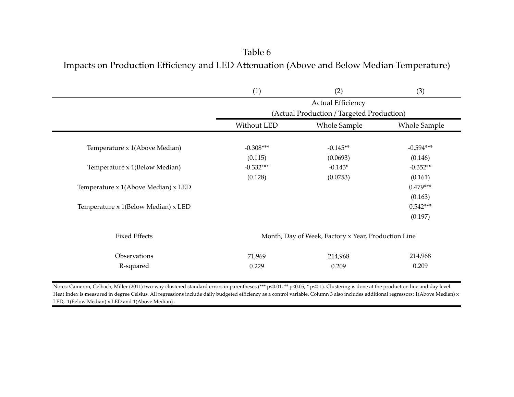## Impacts on Production Efficiency and LED Attenuation (Above and Below Median Temperature) Table 6

|                                     | (1)                                       | (2)                                                 | (3)                 |  |  |  |  |
|-------------------------------------|-------------------------------------------|-----------------------------------------------------|---------------------|--|--|--|--|
|                                     | <b>Actual Efficiency</b>                  |                                                     |                     |  |  |  |  |
|                                     | (Actual Production / Targeted Production) |                                                     |                     |  |  |  |  |
|                                     | Without LED                               | <b>Whole Sample</b>                                 | <b>Whole Sample</b> |  |  |  |  |
|                                     |                                           |                                                     |                     |  |  |  |  |
| Temperature x 1(Above Median)       | $-0.308***$                               | $-0.145**$                                          | $-0.594***$         |  |  |  |  |
|                                     | (0.115)                                   | (0.0693)                                            | (0.146)             |  |  |  |  |
| Temperature x 1(Below Median)       | $-0.332***$                               | $-0.143*$                                           | $-0.352**$          |  |  |  |  |
|                                     | (0.128)                                   | (0.0753)                                            | (0.161)             |  |  |  |  |
| Temperature x 1(Above Median) x LED |                                           |                                                     | $0.479***$          |  |  |  |  |
|                                     |                                           |                                                     | (0.163)             |  |  |  |  |
| Temperature x 1(Below Median) x LED |                                           |                                                     | $0.542***$          |  |  |  |  |
|                                     |                                           |                                                     | (0.197)             |  |  |  |  |
| <b>Fixed Effects</b>                |                                           | Month, Day of Week, Factory x Year, Production Line |                     |  |  |  |  |
| Observations                        | 71,969                                    | 214,968                                             | 214,968             |  |  |  |  |
| R-squared                           | 0.229                                     | 0.209                                               | 0.209               |  |  |  |  |

Notes: Cameron, Gelbach, Miller (2011) two-way clustered standard errors in parentheses (\*\*\* p<0.01, \*\* p<0.05, \* p<0.1). Clustering is done at the production line and day level. Heat Index is measured in degree Celsius. All regressions include daily budgeted efficiency as a control variable. Column 3 also includes additional regressors: 1(Above Median) x LED, 1(Below Median) x LED and 1(Above Median)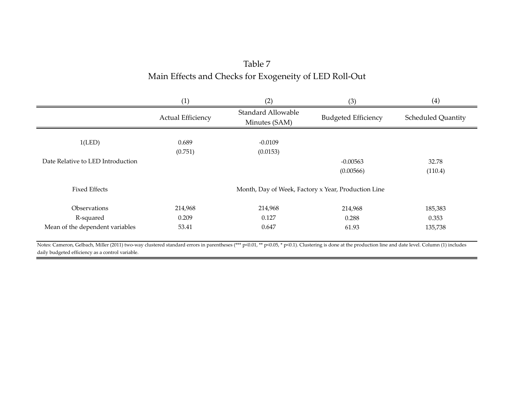## Main Effects and Checks for Exogeneity of LED Roll-Out Table 7

|                                   | (1)                      | (2)                                        | (3)                                                 | (4)                       |
|-----------------------------------|--------------------------|--------------------------------------------|-----------------------------------------------------|---------------------------|
|                                   | <b>Actual Efficiency</b> | <b>Standard Allowable</b><br>Minutes (SAM) | <b>Budgeted Efficiency</b>                          | <b>Scheduled Quantity</b> |
|                                   |                          |                                            |                                                     |                           |
| 1(LED)                            | 0.689                    | $-0.0109$                                  |                                                     |                           |
|                                   | (0.751)                  | (0.0153)                                   |                                                     |                           |
| Date Relative to LED Introduction |                          |                                            | $-0.00563$                                          | 32.78                     |
|                                   |                          |                                            | (0.00566)                                           | (110.4)                   |
| <b>Fixed Effects</b>              |                          |                                            | Month, Day of Week, Factory x Year, Production Line |                           |
| Observations                      | 214,968                  | 214,968                                    | 214,968                                             | 185,383                   |
| R-squared                         | 0.209                    | 0.127                                      | 0.288                                               | 0.353                     |
| Mean of the dependent variables   | 53.41                    | 0.647                                      | 61.93                                               | 135,738                   |
|                                   |                          |                                            |                                                     |                           |

Notes: Cameron, Gelbach, Miller (2011) two-way clustered standard errors in parentheses (\*\*\* p<0.01, \*\* p<0.05, \* p<0.1). Clustering is done at the production line and date level. Column (1) includes daily budgeted efficiency as a control variable.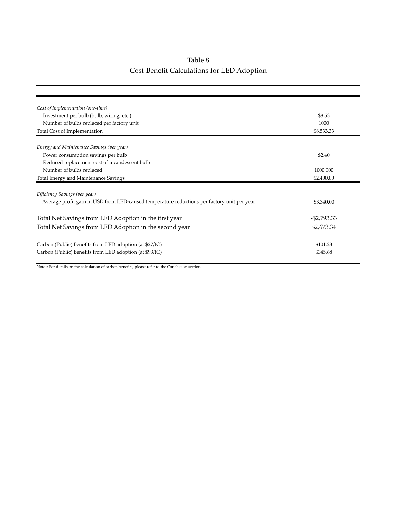## Table 8 Cost-Benefit Calculations for LED Adoption

| Cost of Implementation (one-time)                                                                 |                |
|---------------------------------------------------------------------------------------------------|----------------|
| Investment per bulb (bulb, wiring, etc.)                                                          | \$8.53         |
| Number of bulbs replaced per factory unit                                                         | 1000           |
| Total Cost of Implementation                                                                      | \$8,533.33     |
| Energy and Maintenance Savings (per year)                                                         |                |
| Power consumption savings per bulb                                                                | \$2.40         |
| Reduced replacement cost of incandescent bulb                                                     |                |
| Number of bulbs replaced                                                                          | 1000.000       |
| Total Energy and Maintenance Savings                                                              | \$2,400.00     |
|                                                                                                   |                |
| Efficiency Savings (per year)                                                                     |                |
| Average profit gain in USD from LED-caused temperature reductions per factory unit per year       | \$3,340.00     |
| Total Net Savings from LED Adoption in the first year                                             | $-$ \$2,793.33 |
| Total Net Savings from LED Adoption in the second year                                            | \$2,673.34     |
| Carbon (Public) Benefits from LED adoption (at \$27/tC)                                           | \$101.23       |
| Carbon (Public) Benefits from LED adoption (at \$93/tC)                                           | \$345.68       |
| Notes: For details on the calculation of carbon benefits, please refer to the Conclusion section. |                |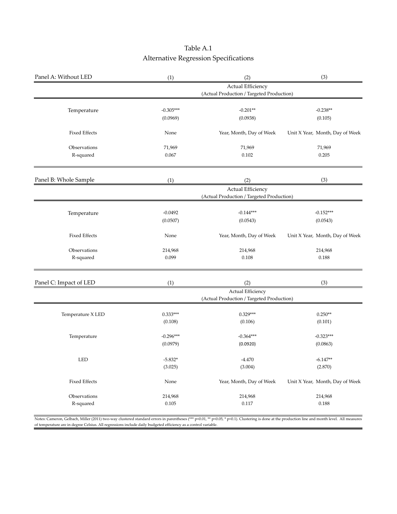## Table A.1 Alternative Regression Specifications

| Panel A: Without LED   | (1)         | (2)                                       | (3)                             |
|------------------------|-------------|-------------------------------------------|---------------------------------|
|                        |             | <b>Actual Efficiency</b>                  |                                 |
|                        |             | (Actual Production / Targeted Production) |                                 |
| Temperature            | $-0.305***$ | $-0.201**$                                | $-0.238**$                      |
|                        | (0.0969)    | (0.0938)                                  | (0.105)                         |
|                        |             |                                           |                                 |
| <b>Fixed Effects</b>   | None        | Year, Month, Day of Week                  | Unit X Year, Month, Day of Week |
| Observations           | 71,969      | 71,969                                    | 71,969                          |
| R-squared              | 0.067       | 0.102                                     | 0.205                           |
| Panel B: Whole Sample  | (1)         | (2)                                       | (3)                             |
|                        |             | Actual Efficiency                         |                                 |
|                        |             | (Actual Production / Targeted Production) |                                 |
| Temperature            | $-0.0492$   | $-0.144***$                               | $-0.152***$                     |
|                        | (0.0507)    | (0.0543)                                  | (0.0543)                        |
|                        |             |                                           |                                 |
| <b>Fixed Effects</b>   | None        | Year, Month, Day of Week                  | Unit X Year, Month, Day of Week |
| Observations           | 214,968     | 214,968                                   | 214,968                         |
| R-squared              | 0.099       | 0.108                                     | 0.188                           |
| Panel C: Impact of LED | (1)         | (2)                                       | (3)                             |
|                        |             | Actual Efficiency                         |                                 |
|                        |             | (Actual Production / Targeted Production) |                                 |
| Temperature X LED      | $0.333***$  | $0.329***$                                | $0.250**$                       |
|                        | (0.108)     | (0.106)                                   | (0.101)                         |
| Temperature            | $-0.296***$ | $-0.364***$                               | $-0.323***$                     |
|                        | (0.0979)    | (0.0920)                                  | (0.0863)                        |
| <b>LED</b>             | $-5.832*$   | $-4.470$                                  | $-6.147**$                      |
|                        | (3.025)     | (3.004)                                   | (2.870)                         |
| <b>Fixed Effects</b>   | None        | Year, Month, Day of Week                  | Unit X Year, Month, Day of Week |
| Observations           | 214,968     | 214,968                                   | 214,968                         |
| R-squared              | 0.105       | 0.117                                     | 0.188                           |

Notes: Cameron, Gelbach, Miller (2011) two-way clustered standard errors in parentheses (\*\*\* p<0.01, \*\* p<0.05, \* p<0.1). Clustering is done at the production line and month level. All measures of temperature are in degree Celsius. All regressions include daily budgeted efficiency as a control variable.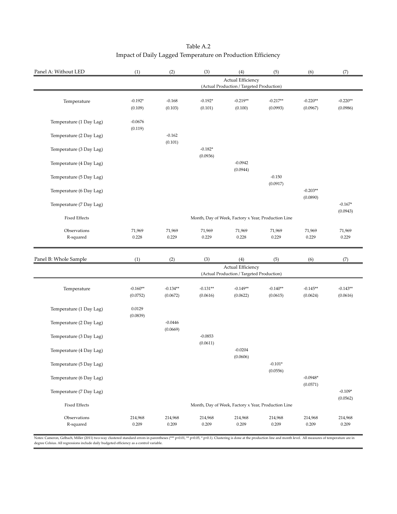| Panel A: Without LED      | (1)                    | (2)                                                                   | (3)                    | (4)                                                            | (5)                                                 | (6)                    | (7)                    |  |  |
|---------------------------|------------------------|-----------------------------------------------------------------------|------------------------|----------------------------------------------------------------|-----------------------------------------------------|------------------------|------------------------|--|--|
|                           |                        | <b>Actual Efficiency</b><br>(Actual Production / Targeted Production) |                        |                                                                |                                                     |                        |                        |  |  |
| Temperature               | $-0.192*$              | $-0.168$                                                              | $-0.192*$              | $-0.219**$                                                     | $-0.217**$                                          | $-0.220**$             | $-0.220**$             |  |  |
|                           | (0.109)                | (0.103)                                                               | (0.101)                | (0.100)                                                        | (0.0993)                                            | (0.0967)               | (0.0986)               |  |  |
| Temperature (1 Day Lag)   | $-0.0676$<br>(0.119)   |                                                                       |                        |                                                                |                                                     |                        |                        |  |  |
| Temperature (2 Day Lag)   |                        | $-0.162$<br>(0.101)                                                   |                        |                                                                |                                                     |                        |                        |  |  |
| Temperature (3 Day Lag)   |                        |                                                                       | $-0.182*$<br>(0.0936)  |                                                                |                                                     |                        |                        |  |  |
| Temperature (4 Day Lag)   |                        |                                                                       |                        | $-0.0942$<br>(0.0944)                                          |                                                     |                        |                        |  |  |
| Temperature (5 Day Lag)   |                        |                                                                       |                        |                                                                | $-0.150$<br>(0.0917)                                |                        |                        |  |  |
| Temperature (6 Day Lag)   |                        |                                                                       |                        |                                                                |                                                     | $-0.203**$<br>(0.0890) |                        |  |  |
| Temperature (7 Day Lag)   |                        |                                                                       |                        |                                                                |                                                     |                        | $-0.167*$<br>(0.0943)  |  |  |
| <b>Fixed Effects</b>      |                        |                                                                       |                        |                                                                | Month, Day of Week, Factory x Year, Production Line |                        |                        |  |  |
| Observations<br>R-squared | 71,969<br>0.228        | 71,969<br>0.229                                                       | 71,969<br>0.229        | 71,969<br>0.228                                                | 71,969<br>0.229                                     | 71,969<br>0.229        | 71,969<br>0.229        |  |  |
|                           |                        |                                                                       |                        |                                                                |                                                     |                        |                        |  |  |
| Panel B: Whole Sample     | (1)                    | (2)                                                                   | (3)                    | (4)                                                            | (5)                                                 | (6)                    | (7)                    |  |  |
|                           |                        |                                                                       |                        | Actual Efficiency<br>(Actual Production / Targeted Production) |                                                     |                        |                        |  |  |
| Temperature               | $-0.160**$<br>(0.0752) | $-0.134**$<br>(0.0672)                                                | $-0.131**$<br>(0.0616) | $-0.149**$<br>(0.0622)                                         | $-0.140**$<br>(0.0615)                              | $-0.145**$<br>(0.0624) | $-0.143**$<br>(0.0616) |  |  |
| Temperature (1 Day Lag)   | 0.0129<br>(0.0839)     |                                                                       |                        |                                                                |                                                     |                        |                        |  |  |
| Temperature (2 Day Lag)   |                        | $-0.0446$<br>(0.0669)                                                 |                        |                                                                |                                                     |                        |                        |  |  |
| Temperature (3 Day Lag)   |                        |                                                                       | $-0.0853$<br>(0.0611)  |                                                                |                                                     |                        |                        |  |  |
| Temperature (4 Day Lag)   |                        |                                                                       |                        | $-0.0204$<br>(0.0606)                                          |                                                     |                        |                        |  |  |
| Temperature (5 Day Lag)   |                        |                                                                       |                        |                                                                | $-0.101*$<br>(0.0556)                               |                        |                        |  |  |
| Temperature (6 Day Lag)   |                        |                                                                       |                        |                                                                |                                                     | $-0.0948*$<br>(0.0571) |                        |  |  |
| Temperature (7 Day Lag)   |                        |                                                                       |                        |                                                                |                                                     |                        | $-0.109*$<br>(0.0562)  |  |  |
| <b>Fixed Effects</b>      |                        |                                                                       |                        |                                                                | Month, Day of Week, Factory x Year, Production Line |                        |                        |  |  |
| Observations              | 214,968                | 214,968                                                               | 214,968                | 214,968                                                        | 214,968                                             | 214,968                | 214,968                |  |  |
| R-squared                 | 0.209                  | 0.209                                                                 | 0.209                  | 0.209                                                          | 0.209                                               | 0.209                  | 0.209                  |  |  |

| Table A.2                                                   |  |
|-------------------------------------------------------------|--|
| Impact of Daily Lagged Temperature on Production Efficiency |  |

Notes: Cameron, Gelbach, Miller (2011) two-way clustered standard errors in parentheses (\*\*\* p<0.01, \*\* p<0.05, \* p<0.05, \* p<0.1). Clustering is done at the production line and month level. All measures of temperature ar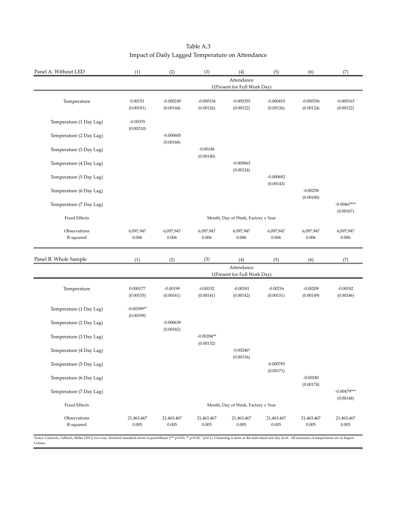| Panel A: Without LED      | (1)                                | (2)                      | (3)                       | (4)                                        | (5)                      | (6)                     | (7)                        |
|---------------------------|------------------------------------|--------------------------|---------------------------|--------------------------------------------|--------------------------|-------------------------|----------------------------|
|                           |                                    |                          |                           | Attendance<br>1(Present for Full Work Day) |                          |                         |                            |
| Temperature               | 0.00151                            | $-0.000249$              | $-0.000154$               | $-0.000355$                                | $-0.000410$              | $-0.000356$             | $-0.000163$                |
|                           | (0.00181)                          | (0.00144)                | (0.00126)                 | (0.00122)                                  | (0.00126)                | (0.00124)               | (0.00122)                  |
| Temperature (1 Day Lag)   | $-0.00335$<br>(0.00210)            |                          |                           |                                            |                          |                         |                            |
| Temperature (2 Day Lag)   |                                    | $-0.000605$<br>(0.00168) |                           |                                            |                          |                         |                            |
| Temperature (3 Day Lag)   |                                    |                          | $-0.00148$<br>(0.00140)   |                                            |                          |                         |                            |
| Temperature (4 Day Lag)   |                                    |                          |                           | $-0.000863$<br>(0.00124)                   |                          |                         |                            |
| Temperature (5 Day Lag)   |                                    |                          |                           |                                            | $-0.000692$<br>(0.00143) |                         |                            |
| Temperature (6 Day Lag)   |                                    |                          |                           |                                            |                          | $-0.00258$<br>(0.00180) |                            |
| Temperature (7 Day Lag)   |                                    |                          |                           |                                            |                          |                         | $-0.00467***$<br>(0.00167) |
| <b>Fixed Effects</b>      | Month, Day of Week, Factory x Year |                          |                           |                                            |                          |                         |                            |
| Observations<br>R-squared | 6,097,947<br>0.006                 | 6,097,947<br>0.006       | 6,097,947<br>0.006        | 6,097,947<br>0.006                         | 6,097,947<br>0.006       | 6,097,947<br>0.006      | 6,097,947<br>0.006         |
| Panel B: Whole Sample     | (1)                                | (2)                      | (3)                       | (4)                                        | (5)                      | (6)                     | (7)                        |
|                           |                                    |                          |                           | Attendance<br>1(Present for Full Work Day) |                          |                         |                            |
| Temperature               | 0.000177<br>(0.00155)              | $-0.00199$<br>(0.00161)  | $-0.00152$<br>(0.00141)   | $-0.00181$<br>(0.00142)                    | $-0.00216$<br>(0.00151)  | $-0.00209$<br>(0.00149) | $-0.00182$<br>(0.00146)    |
| Temperature (1 Day Lag)   | $-0.00399**$<br>(0.00199)          |                          |                           |                                            |                          |                         |                            |
| Temperature (2 Day Lag)   |                                    | $-0.000639$<br>(0.00182) |                           |                                            |                          |                         |                            |
| Temperature (3 Day Lag)   |                                    |                          | $-0.00284**$<br>(0.00132) |                                            |                          |                         |                            |
| Temperature (4 Day Lag)   |                                    |                          |                           | $-0.00246*$                                |                          |                         |                            |
| Temperature (5 Day Lag)   |                                    |                          |                           | (0.00136)                                  |                          |                         |                            |
|                           |                                    |                          |                           |                                            | $-0.000785$<br>(0.00171) |                         |                            |
| Temperature (6 Day Lag)   |                                    |                          |                           |                                            |                          | $-0.00240$<br>(0.00174) |                            |
| Temperature (7 Day Lag)   |                                    |                          |                           |                                            |                          |                         | $-0.00479***$<br>(0.00148) |
| <b>Fixed Effects</b>      |                                    |                          |                           | Month, Day of Week, Factory x Year         |                          |                         |                            |

#### Table A.3 Impact of Daily Lagged Temperature on Attendance

Notes: Cameron, Gelbach, Miller (2011) two-way clustered standard errors in parentheses (\*\*\* p<0.01, \*\* p<0.05, \* p<0.1). Clustering is done at the individual and day level. All measures of temperature are in degree Celsius.